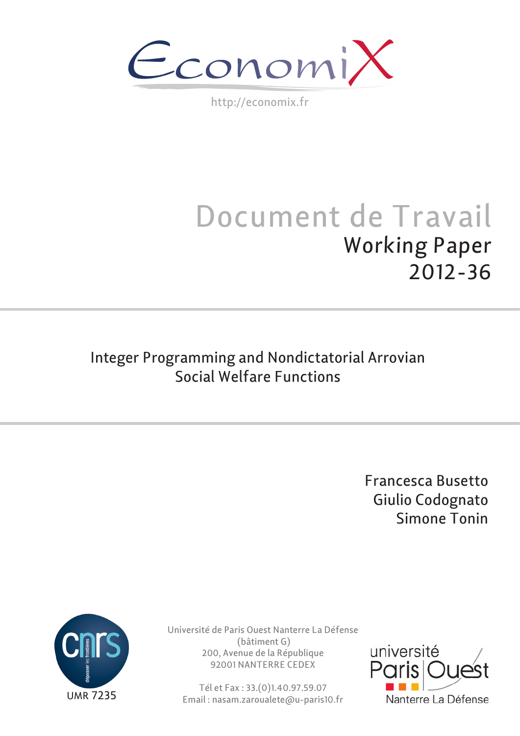$\epsilon$ conomi)

http://economix.fr

# Document de Travail Working Paper 2012-36

# Integer Programming and Nondictatorial Arrovian Social Welfare Functions

Francesca Busetto Giulio Codognato Simone Tonin



Université de Paris Ouest Nanterre La Défense (bâtiment G) 200, Avenue de la République 92001 NANTERRE CEDEX

Tél et Fax : 33.(0)1.40.97.59.07 Email : nasam.zaroualete@u-paris10.fr

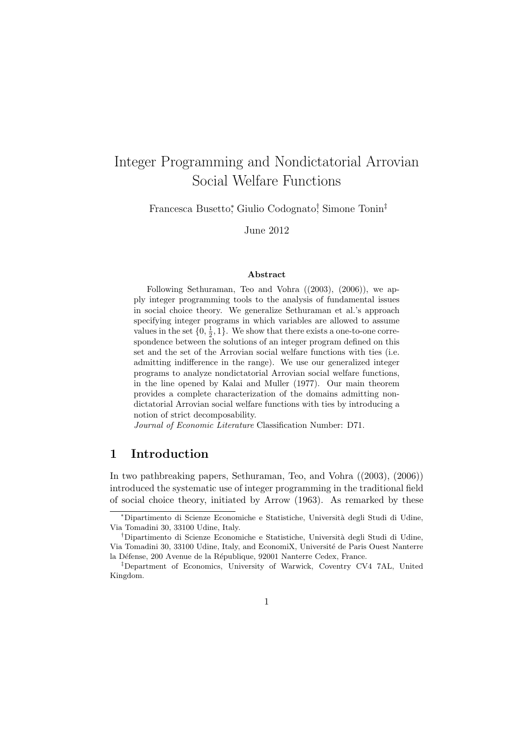## Integer Programming and Nondictatorial Arrovian Social Welfare Functions

Francesca Busetto<sup>∗</sup> , Giulio Codognato† , Simone Tonin‡

June 2012

#### Abstract

Following Sethuraman, Teo and Vohra ((2003), (2006)), we apply integer programming tools to the analysis of fundamental issues in social choice theory. We generalize Sethuraman et al.'s approach specifying integer programs in which variables are allowed to assume values in the set  $\{0, \frac{1}{2}, 1\}$ . We show that there exists a one-to-one correspondence between the solutions of an integer program defined on this set and the set of the Arrovian social welfare functions with ties (i.e. admitting indifference in the range). We use our generalized integer programs to analyze nondictatorial Arrovian social welfare functions, in the line opened by Kalai and Muller (1977). Our main theorem provides a complete characterization of the domains admitting nondictatorial Arrovian social welfare functions with ties by introducing a notion of strict decomposability.

Journal of Economic Literature Classification Number: D71.

#### 1 Introduction

In two pathbreaking papers, Sethuraman, Teo, and Vohra ((2003), (2006)) introduced the systematic use of integer programming in the traditional field of social choice theory, initiated by Arrow (1963). As remarked by these

<sup>∗</sup>Dipartimento di Scienze Economiche e Statistiche, Universit`a degli Studi di Udine, Via Tomadini 30, 33100 Udine, Italy.

<sup>&</sup>lt;sup>†</sup>Dipartimento di Scienze Economiche e Statistiche, Università degli Studi di Udine, Via Tomadini 30, 33100 Udine, Italy, and EconomiX, Universit´e de Paris Ouest Nanterre la Défense, 200 Avenue de la République, 92001 Nanterre Cedex, France.

<sup>‡</sup>Department of Economics, University of Warwick, Coventry CV4 7AL, United Kingdom.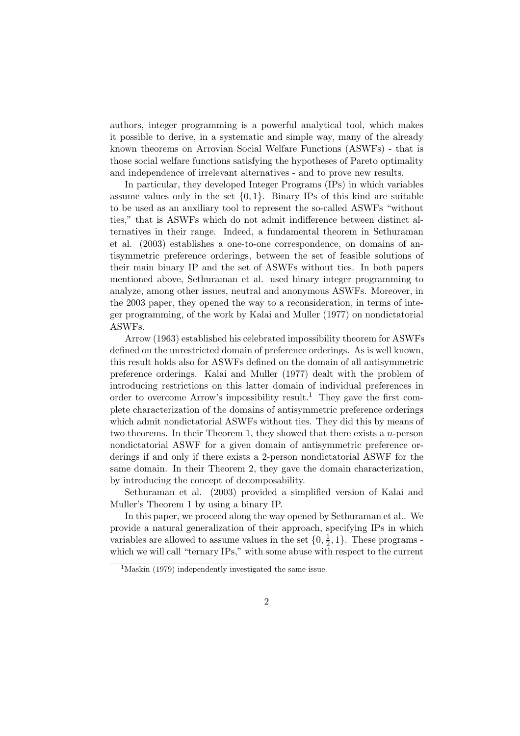authors, integer programming is a powerful analytical tool, which makes it possible to derive, in a systematic and simple way, many of the already known theorems on Arrovian Social Welfare Functions (ASWFs) - that is those social welfare functions satisfying the hypotheses of Pareto optimality and independence of irrelevant alternatives - and to prove new results.

In particular, they developed Integer Programs (IPs) in which variables assume values only in the set  $\{0, 1\}$ . Binary IPs of this kind are suitable to be used as an auxiliary tool to represent the so-called ASWFs "without ties," that is ASWFs which do not admit indifference between distinct alternatives in their range. Indeed, a fundamental theorem in Sethuraman et al. (2003) establishes a one-to-one correspondence, on domains of antisymmetric preference orderings, between the set of feasible solutions of their main binary IP and the set of ASWFs without ties. In both papers mentioned above, Sethuraman et al. used binary integer programming to analyze, among other issues, neutral and anonymous ASWFs. Moreover, in the 2003 paper, they opened the way to a reconsideration, in terms of integer programming, of the work by Kalai and Muller (1977) on nondictatorial ASWFs.

Arrow (1963) established his celebrated impossibility theorem for ASWFs defined on the unrestricted domain of preference orderings. As is well known, this result holds also for ASWFs defined on the domain of all antisymmetric preference orderings. Kalai and Muller (1977) dealt with the problem of introducing restrictions on this latter domain of individual preferences in order to overcome Arrow's impossibility result.<sup>1</sup> They gave the first complete characterization of the domains of antisymmetric preference orderings which admit nondictatorial ASWFs without ties. They did this by means of two theorems. In their Theorem 1, they showed that there exists a n-person nondictatorial ASWF for a given domain of antisymmetric preference orderings if and only if there exists a 2-person nondictatorial ASWF for the same domain. In their Theorem 2, they gave the domain characterization, by introducing the concept of decomposability.

Sethuraman et al. (2003) provided a simplified version of Kalai and Muller's Theorem 1 by using a binary IP.

In this paper, we proceed along the way opened by Sethuraman et al.. We provide a natural generalization of their approach, specifying IPs in which variables are allowed to assume values in the set  $\{0, \frac{1}{2}\}$  $\frac{1}{2}$ , 1}. These programs which we will call "ternary IPs," with some abuse with respect to the current

<sup>&</sup>lt;sup>1</sup>Maskin (1979) independently investigated the same issue.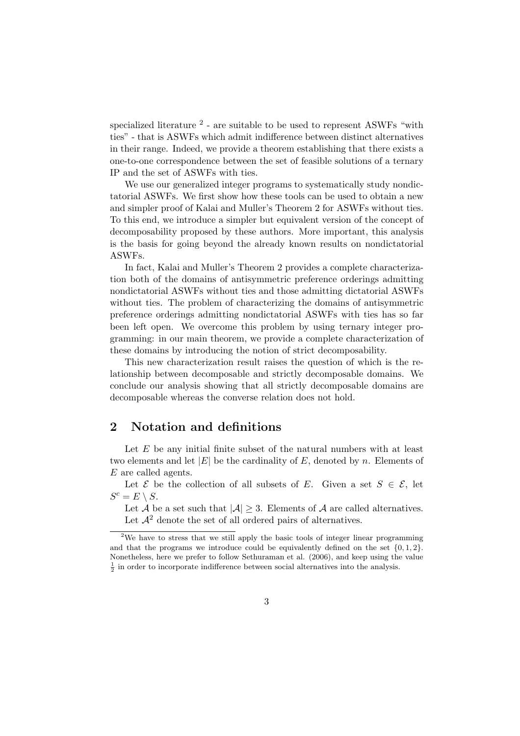specialized literature  $^2$  - are suitable to be used to represent ASWFs "with ties" - that is ASWFs which admit indifference between distinct alternatives in their range. Indeed, we provide a theorem establishing that there exists a one-to-one correspondence between the set of feasible solutions of a ternary IP and the set of ASWFs with ties.

We use our generalized integer programs to systematically study nondictatorial ASWFs. We first show how these tools can be used to obtain a new and simpler proof of Kalai and Muller's Theorem 2 for ASWFs without ties. To this end, we introduce a simpler but equivalent version of the concept of decomposability proposed by these authors. More important, this analysis is the basis for going beyond the already known results on nondictatorial ASWFs.

In fact, Kalai and Muller's Theorem 2 provides a complete characterization both of the domains of antisymmetric preference orderings admitting nondictatorial ASWFs without ties and those admitting dictatorial ASWFs without ties. The problem of characterizing the domains of antisymmetric preference orderings admitting nondictatorial ASWFs with ties has so far been left open. We overcome this problem by using ternary integer programming: in our main theorem, we provide a complete characterization of these domains by introducing the notion of strict decomposability.

This new characterization result raises the question of which is the relationship between decomposable and strictly decomposable domains. We conclude our analysis showing that all strictly decomposable domains are decomposable whereas the converse relation does not hold.

#### 2 Notation and definitions

Let  $E$  be any initial finite subset of the natural numbers with at least two elements and let  $|E|$  be the cardinality of E, denoted by n. Elements of E are called agents.

Let  $\mathcal E$  be the collection of all subsets of E. Given a set  $S \in \mathcal E$ , let  $S^c = E \setminus S$ .

Let A be a set such that  $|A| \geq 3$ . Elements of A are called alternatives. Let  $\mathcal{A}^2$  denote the set of all ordered pairs of alternatives.

<sup>&</sup>lt;sup>2</sup>We have to stress that we still apply the basic tools of integer linear programming and that the programs we introduce could be equivalently defined on the set  $\{0, 1, 2\}$ . Nonetheless, here we prefer to follow Sethuraman et al. (2006), and keep using the value  $\frac{1}{2}$  in order to incorporate indifference between social alternatives into the analysis.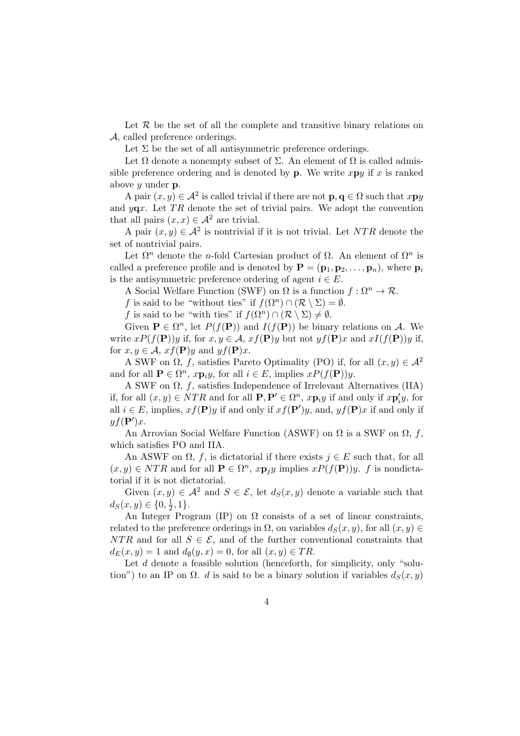Let  $R$  be the set of all the complete and transitive binary relations on A, called preference orderings.

Let  $\Sigma$  be the set of all antisymmetric preference orderings.

Let  $\Omega$  denote a nonempty subset of  $\Sigma$ . An element of  $\Omega$  is called admissible preference ordering and is denoted by **p**. We write  $x \mathbf{p} y$  if x is ranked above  $y$  under  $p$ .

A pair  $(x, y) \in \mathcal{A}^2$  is called trivial if there are not  $\mathbf{p}, \mathbf{q} \in \Omega$  such that  $x \mathbf{p} y$ and  $y\mathbf{q}x$ . Let TR denote the set of trivial pairs. We adopt the convention that all pairs  $(x, x) \in \mathcal{A}^2$  are trivial.

A pair  $(x, y) \in \mathcal{A}^2$  is nontrivial if it is not trivial. Let NTR denote the set of nontrivial pairs.

Let  $\Omega^n$  denote the *n*-fold Cartesian product of  $\Omega$ . An element of  $\Omega^n$  is called a preference profile and is denoted by  $\mathbf{P} = (\mathbf{p}_1, \mathbf{p}_2, \dots, \mathbf{p}_n)$ , where  $\mathbf{p}_i$ is the antisymmetric preference ordering of agent  $i \in E$ .

A Social Welfare Function (SWF) on  $\Omega$  is a function  $f : \Omega^n \to \mathcal{R}$ .

f is said to be "without ties" if  $f(\Omega^n) \cap (\mathcal{R} \setminus \Sigma) = \emptyset$ .

f is said to be "with ties" if  $f(\Omega^n) \cap (\mathcal{R} \setminus \Sigma) \neq \emptyset$ .

Given  $\mathbf{P} \in \Omega^n$ , let  $P(f(\mathbf{P}))$  and  $I(f(\mathbf{P}))$  be binary relations on A. We write  $xP(f(\mathbf{P}))y$  if, for  $x, y \in A$ ,  $xf(\mathbf{P})y$  but not  $yf(\mathbf{P})x$  and  $xI(f(\mathbf{P}))y$  if, for  $x, y \in A$ ,  $xf(P)y$  and  $yf(P)x$ .

A SWF on  $\Omega$ , f, satisfies Pareto Optimality (PO) if, for all  $(x, y) \in \mathcal{A}^2$ and for all  $P \in \Omega^n$ ,  $x\mathbf{p}_iy$ , for all  $i \in E$ , implies  $xP(f(\mathbf{P}))y$ .

A SWF on  $\Omega$ , f, satisfies Independence of Irrelevant Alternatives (IIA) if, for all  $(x, y) \in NTR$  and for all  $P, P' \in \Omega^n$ ,  $x \mathbf{p}_i y$  if and only if  $x \mathbf{p}'_i y$ , for all  $i \in E$ , implies,  $xf(P)y$  if and only if  $xf(P')y$ , and,  $yf(P)x$  if and only if  $y f(\mathbf{P}')x$ .

An Arrovian Social Welfare Function (ASWF) on  $\Omega$  is a SWF on  $\Omega$ , f, which satisfies PO and IIA.

An ASWF on  $\Omega$ , f, is dictatorial if there exists  $j \in E$  such that, for all  $(x, y) \in NTR$  and for all  $\mathbf{P} \in \Omega^n$ ,  $x \mathbf{p}_j y$  implies  $x P(f(\mathbf{P})) y$ . f is nondictatorial if it is not dictatorial.

Given  $(x, y) \in \mathcal{A}^2$  and  $S \in \mathcal{E}$ , let  $d_S(x, y)$  denote a variable such that  $d_S(x, y) \in \{0, \frac{1}{2}\}$  $\frac{1}{2}, 1\}.$ 

An Integer Program (IP) on  $\Omega$  consists of a set of linear constraints, related to the preference orderings in  $\Omega$ , on variables  $d_S(x, y)$ , for all  $(x, y) \in$ NTR and for all  $S \in \mathcal{E}$ , and of the further conventional constraints that  $d_E(x, y) = 1$  and  $d_{\emptyset}(y, x) = 0$ , for all  $(x, y) \in TR$ .

Let d denote a feasible solution (henceforth, for simplicity, only "solution") to an IP on  $\Omega$ . d is said to be a binary solution if variables  $d_S(x, y)$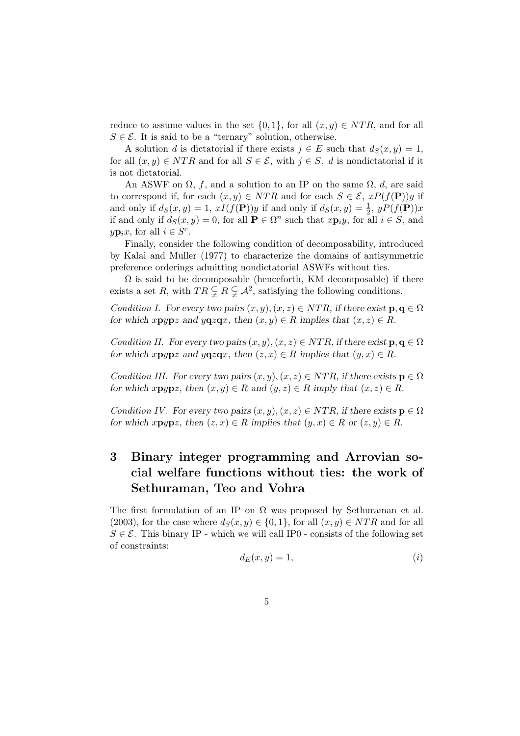reduce to assume values in the set  $\{0, 1\}$ , for all  $(x, y) \in NTR$ , and for all  $S \in \mathcal{E}$ . It is said to be a "ternary" solution, otherwise.

A solution d is dictatorial if there exists  $j \in E$  such that  $d_S(x, y) = 1$ , for all  $(x, y) \in NTR$  and for all  $S \in \mathcal{E}$ , with  $j \in S$ . d is nondictatorial if it is not dictatorial.

An ASWF on  $\Omega$ , f, and a solution to an IP on the same  $\Omega$ , d, are said to correspond if, for each  $(x, y) \in NTR$  and for each  $S \in \mathcal{E}$ ,  $xP(f(\mathbf{P}))y$  if and only if  $d_S(x,y) = 1$ ,  $xI(f(\mathbf{P}))y$  if and only if  $d_S(x,y) = \frac{1}{2}$ ,  $yP(f(\mathbf{P}))x$ if and only if  $d_S(x, y) = 0$ , for all  $P \in \Omega^n$  such that  $x{\bf p}_iy$ , for all  $i \in S$ , and  $y\mathbf{p}_ix$ , for all  $i \in S^c$ .

Finally, consider the following condition of decomposability, introduced by Kalai and Muller (1977) to characterize the domains of antisymmetric preference orderings admitting nondictatorial ASWFs without ties.

 $\Omega$  is said to be decomposable (henceforth, KM decomposable) if there exists a set R, with  $TR \subsetneq R \subsetneq A^2$ , satisfying the following conditions.

Condition I. For every two pairs  $(x, y), (x, z) \in NTR$ , if there exist  $\mathbf{p}, \mathbf{q} \in \Omega$ for which xpypz and yqzqx, then  $(x, y) \in R$  implies that  $(x, z) \in R$ .

Condition II. For every two pairs  $(x, y), (x, z) \in NTR$ , if there exist  $p, q \in \Omega$ for which xpypz and yqzqx, then  $(z, x) \in R$  implies that  $(y, x) \in R$ .

Condition III. For every two pairs  $(x, y), (x, z) \in NTR$ , if there exists  $p \in \Omega$ for which  $x$ **p** $y$ **p** $z$ , then  $(x, y) \in R$  and  $(y, z) \in R$  imply that  $(x, z) \in R$ .

Condition IV. For every two pairs  $(x, y), (x, z) \in NTR$ , if there exists  $p \in \Omega$ for which  $x$ **p**y**p**z, then  $(z, x) \in R$  implies that  $(y, x) \in R$  or  $(z, y) \in R$ .

## 3 Binary integer programming and Arrovian social welfare functions without ties: the work of Sethuraman, Teo and Vohra

The first formulation of an IP on  $\Omega$  was proposed by Sethuraman et al. (2003), for the case where  $d_S(x, y) \in \{0, 1\}$ , for all  $(x, y) \in NTR$  and for all  $S \in \mathcal{E}$ . This binary IP - which we will call IP0 - consists of the following set of constraints:

$$
d_E(x, y) = 1,\t\t(2)
$$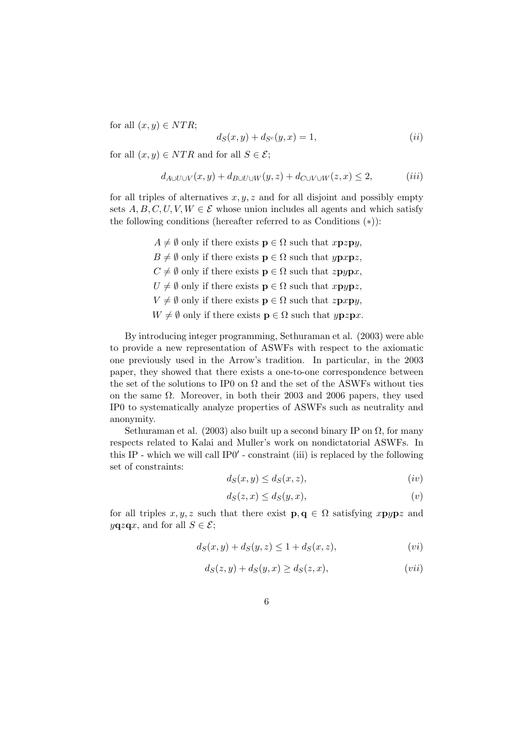for all  $(x, y) \in NTR$ ;

$$
d_S(x, y) + d_{S^c}(y, x) = 1,
$$
\n<sup>(ii)</sup>

for all  $(x, y) \in NTR$  and for all  $S \in \mathcal{E}$ ;

$$
d_{A\cup U\cup V}(x,y) + d_{B\cup U\cup W}(y,z) + d_{C\cup V\cup W}(z,x) \le 2, \qquad (iii)
$$

for all triples of alternatives  $x, y, z$  and for all disjoint and possibly empty sets  $A, B, C, U, V, W \in \mathcal{E}$  whose union includes all agents and which satisfy the following conditions (hereafter referred to as Conditions (∗)):

> $A \neq \emptyset$  only if there exists  $\mathbf{p} \in \Omega$  such that  $x\mathbf{p}z\mathbf{p}y$ ,  $B \neq \emptyset$  only if there exists  $\mathbf{p} \in \Omega$  such that  $y\mathbf{p}x\mathbf{p}z$ ,  $C \neq \emptyset$  only if there exists  $\mathbf{p} \in \Omega$  such that  $z\mathbf{p}y\mathbf{p}x$ ,  $U \neq \emptyset$  only if there exists  $\mathbf{p} \in \Omega$  such that  $x \mathbf{p} y \mathbf{p} z$ ,  $V \neq \emptyset$  only if there exists  $\mathbf{p} \in \Omega$  such that  $z\mathbf{p}xy$ ,  $W \neq \emptyset$  only if there exists  $\mathbf{p} \in \Omega$  such that  $y \mathbf{p} z \mathbf{p} x$ .

By introducing integer programming, Sethuraman et al. (2003) were able to provide a new representation of ASWFs with respect to the axiomatic one previously used in the Arrow's tradition. In particular, in the 2003 paper, they showed that there exists a one-to-one correspondence between the set of the solutions to IP0 on  $\Omega$  and the set of the ASWFs without ties on the same  $\Omega$ . Moreover, in both their 2003 and 2006 papers, they used IP0 to systematically analyze properties of ASWFs such as neutrality and anonymity.

Sethuraman et al. (2003) also built up a second binary IP on  $\Omega$ , for many respects related to Kalai and Muller's work on nondictatorial ASWFs. In this IP - which we will call  $IP0'$  - constraint (iii) is replaced by the following set of constraints:

$$
d_S(x, y) \le d_S(x, z), \tag{iv}
$$

$$
d_S(z, x) \le d_S(y, x), \tag{v}
$$

for all triples x, y, z such that there exist  $\mathbf{p}, \mathbf{q} \in \Omega$  satisfying xpypz and  $yqzqx$ , and for all  $S \in \mathcal{E}$ ;

$$
d_S(x,y) + d_S(y,z) \le 1 + d_S(x,z),\tag{vi}
$$

$$
d_S(z, y) + d_S(y, x) \ge d_S(z, x), \tag{vii}
$$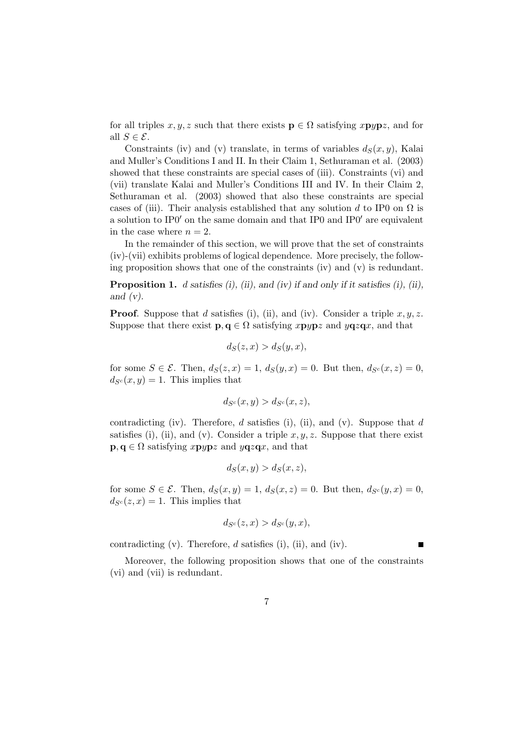for all triples  $x, y, z$  such that there exists  $\mathbf{p} \in \Omega$  satisfying  $x \mathbf{p} y \mathbf{p} z$ , and for all  $S \in \mathcal{E}$ .

Constraints (iv) and (v) translate, in terms of variables  $d_S(x, y)$ , Kalai and Muller's Conditions I and II. In their Claim 1, Sethuraman et al. (2003) showed that these constraints are special cases of (iii). Constraints (vi) and (vii) translate Kalai and Muller's Conditions III and IV. In their Claim 2, Sethuraman et al. (2003) showed that also these constraints are special cases of (iii). Their analysis established that any solution d to IP0 on  $\Omega$  is a solution to IP0 $'$  on the same domain and that IP0 and IP0 $'$  are equivalent in the case where  $n = 2$ .

In the remainder of this section, we will prove that the set of constraints (iv)-(vii) exhibits problems of logical dependence. More precisely, the following proposition shows that one of the constraints (iv) and (v) is redundant.

**Proposition 1.** d satisfies (i), (ii), and (iv) if and only if it satisfies (i), (ii), and  $(v)$ .

**Proof.** Suppose that d satisfies (i), (ii), and (iv). Consider a triple  $x, y, z$ . Suppose that there exist  $\mathbf{p}, \mathbf{q} \in \Omega$  satisfying  $x \mathbf{p} y \mathbf{p} z$  and  $y \mathbf{q} z \mathbf{q} x$ , and that

$$
d_S(z, x) > d_S(y, x),
$$

for some  $S \in \mathcal{E}$ . Then,  $d_S(z, x) = 1$ ,  $d_S(y, x) = 0$ . But then,  $d_{S^c}(x, z) = 0$ ,  $d_{S<sup>c</sup>}(x, y) = 1$ . This implies that

$$
d_{S^c}(x, y) > d_{S^c}(x, z),
$$

contradicting (iv). Therefore,  $d$  satisfies (i), (ii), and (v). Suppose that  $d$ satisfies (i), (ii), and (v). Consider a triple  $x, y, z$ . Suppose that there exist  $\mathbf{p}, \mathbf{q} \in \Omega$  satisfying xpypz and yqzqx, and that

$$
d_S(x, y) > d_S(x, z),
$$

for some  $S \in \mathcal{E}$ . Then,  $d_S(x, y) = 1$ ,  $d_S(x, z) = 0$ . But then,  $d_{S^c}(y, x) = 0$ ,  $d_{S<sup>c</sup>}(z, x) = 1$ . This implies that

$$
d_{S^c}(z, x) > d_{S^c}(y, x),
$$

contradicting  $(v)$ . Therefore,  $d$  satisfies  $(i)$ ,  $(ii)$ , and  $(iv)$ .

Moreover, the following proposition shows that one of the constraints (vi) and (vii) is redundant.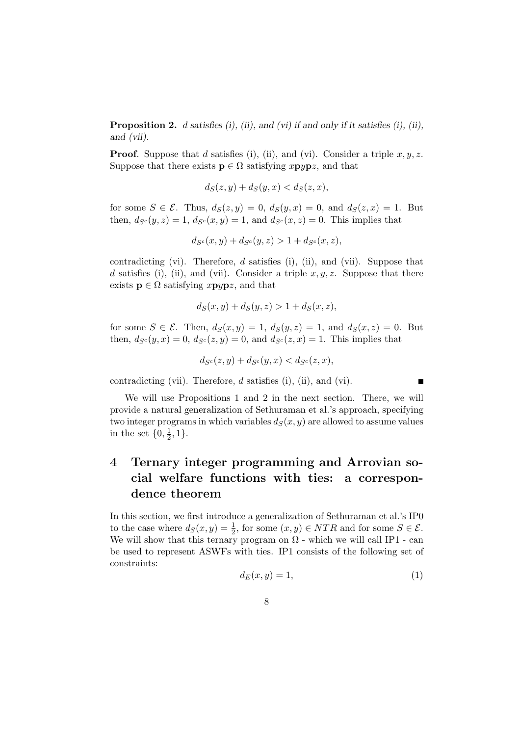**Proposition 2.** d satisfies (i), (ii), and (vi) if and only if it satisfies (i), (ii), and (vii).

**Proof.** Suppose that d satisfies (i), (ii), and (vi). Consider a triple  $x, y, z$ . Suppose that there exists  $\mathbf{p} \in \Omega$  satisfying xpypz, and that

$$
d_S(z, y) + d_S(y, x) < d_S(z, x),
$$

for some  $S \in \mathcal{E}$ . Thus,  $d_S(z, y) = 0$ ,  $d_S(y, x) = 0$ , and  $d_S(z, x) = 1$ . But then,  $d_{S^c}(y, z) = 1$ ,  $d_{S^c}(x, y) = 1$ , and  $d_{S^c}(x, z) = 0$ . This implies that

$$
d_{S^c}(x, y) + d_{S^c}(y, z) > 1 + d_{S^c}(x, z),
$$

contradicting (vi). Therefore,  $d$  satisfies (i), (ii), and (vii). Suppose that d satisfies (i), (ii), and (vii). Consider a triple  $x, y, z$ . Suppose that there exists  $\mathbf{p} \in \Omega$  satisfying xpypz, and that

$$
d_S(x, y) + d_S(y, z) > 1 + d_S(x, z),
$$

for some  $S \in \mathcal{E}$ . Then,  $d_S(x, y) = 1$ ,  $d_S(y, z) = 1$ , and  $d_S(x, z) = 0$ . But then,  $d_{S^c}(y, x) = 0$ ,  $d_{S^c}(z, y) = 0$ , and  $d_{S^c}(z, x) = 1$ . This implies that

$$
d_{S^c}(z,y) + d_{S^c}(y,x) < d_{S^c}(z,x),
$$

contradicting (vii). Therefore, d satisfies (i), (ii), and (vi).

 $\blacksquare$ 

We will use Propositions 1 and 2 in the next section. There, we will provide a natural generalization of Sethuraman et al.'s approach, specifying two integer programs in which variables  $d_S(x, y)$  are allowed to assume values in the set  $\{0, \frac{1}{2}\}$  $\frac{1}{2}, 1\}.$ 

## 4 Ternary integer programming and Arrovian social welfare functions with ties: a correspondence theorem

In this section, we first introduce a generalization of Sethuraman et al.'s IP0 to the case where  $d_S(x, y) = \frac{1}{2}$ , for some  $(x, y) \in NTR$  and for some  $S \in \mathcal{E}$ . We will show that this ternary program on  $\Omega$  - which we will call IP1 - can be used to represent ASWFs with ties. IP1 consists of the following set of constraints:

$$
d_E(x, y) = 1,\t\t(1)
$$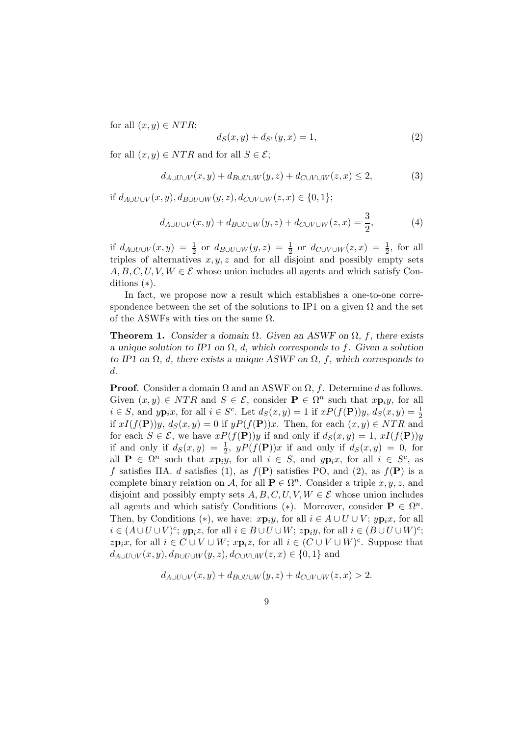for all  $(x, y) \in NTR$ ;

$$
d_S(x, y) + d_{S^c}(y, x) = 1,
$$
\n(2)

for all  $(x, y) \in NTR$  and for all  $S \in \mathcal{E}$ ;

$$
d_{A\cup U\cup V}(x,y) + d_{B\cup U\cup W}(y,z) + d_{C\cup V\cup W}(z,x) \le 2,\tag{3}
$$

if  $d_{A\cup U\cup V}(x, y), d_{B\cup U\cup W}(y, z), d_{C\cup V\cup W}(z, x) \in \{0, 1\};$ 

$$
d_{A\cup U\cup V}(x,y) + d_{B\cup U\cup W}(y,z) + d_{C\cup V\cup W}(z,x) = \frac{3}{2},\tag{4}
$$

if  $d_{A\cup U\cup V}(x,y) = \frac{1}{2}$  or  $d_{B\cup U\cup W}(y,z) = \frac{1}{2}$  or  $d_{C\cup V\cup W}(z,x) = \frac{1}{2}$ , for all triples of alternatives  $x, y, z$  and for all disjoint and possibly empty sets  $A, B, C, U, V, W \in \mathcal{E}$  whose union includes all agents and which satisfy Conditions (∗).

In fact, we propose now a result which establishes a one-to-one correspondence between the set of the solutions to IP1 on a given  $\Omega$  and the set of the ASWFs with ties on the same  $\Omega$ .

**Theorem 1.** Consider a domain  $\Omega$ . Given an ASWF on  $\Omega$ , f, there exists a unique solution to IP1 on  $\Omega$ , d, which corresponds to f. Given a solution to IP1 on  $\Omega$ , d, there exists a unique ASWF on  $\Omega$ , f, which corresponds to d.

**Proof.** Consider a domain  $\Omega$  and an ASWF on  $\Omega$ , f. Determine d as follows. Given  $(x, y) \in NTR$  and  $S \in \mathcal{E}$ , consider  $\mathbf{P} \in \Omega^n$  such that  $x \mathbf{p}_i y$ , for all  $i \in S$ , and  $y\mathbf{p}_i x$ , for all  $i \in S^c$ . Let  $d_S(x, y) = 1$  if  $xP(f(\mathbf{P}))y$ ,  $d_S(x, y) = \frac{1}{2}$ if  $xI(f(\mathbf{P}))y$ ,  $d_S(x, y) = 0$  if  $yP(f(\mathbf{P}))x$ . Then, for each  $(x, y) \in NTR$  and for each  $S \in \mathcal{E}$ , we have  $xP(f(\mathbf{P}))y$  if and only if  $d_S(x, y) = 1$ ,  $xI(f(\mathbf{P}))y$ if and only if  $d_S(x,y) = \frac{1}{2}$ ,  $yP(f(\mathbf{P}))x$  if and only if  $d_S(x,y) = 0$ , for all  $P \in \Omega^n$  such that  $x p_i y$ , for all  $i \in S$ , and  $y p_i x$ , for all  $i \in S^c$ , as f satisfies IIA. d satisfies (1), as  $f(\mathbf{P})$  satisfies PO, and (2), as  $f(\mathbf{P})$  is a complete binary relation on A, for all  $\mathbf{P} \in \Omega^n$ . Consider a triple  $x, y, z$ , and disjoint and possibly empty sets  $A, B, C, U, V, W \in \mathcal{E}$  whose union includes all agents and which satisfy Conditions (\*). Moreover, consider  $\mathbf{P} \in \Omega^n$ . Then, by Conditions (\*), we have:  $x\mathbf{p}_iy$ , for all  $i \in A \cup U \cup V$ ;  $y\mathbf{p}_ix$ , for all  $i \in (A \cup U \cup V)^c$ ;  $y\mathbf{p}_i z$ , for all  $i \in B \cup U \cup W$ ;  $z\mathbf{p}_i y$ , for all  $i \in (B \cup U \cup W)^c$ ;  $zp_ix$ , for all  $i \in C \cup V \cup W$ ;  $xp_iz$ , for all  $i \in (C \cup V \cup W)^c$ . Suppose that  $d_{A\cup U\cup V}(x,y), d_{B\cup U\cup W}(y,z), d_{C\cup V\cup W}(z,x) \in \{0,1\}$  and

$$
d_{A\cup U\cup V}(x,y) + d_{B\cup U\cup W}(y,z) + d_{C\cup V\cup W}(z,x) > 2.
$$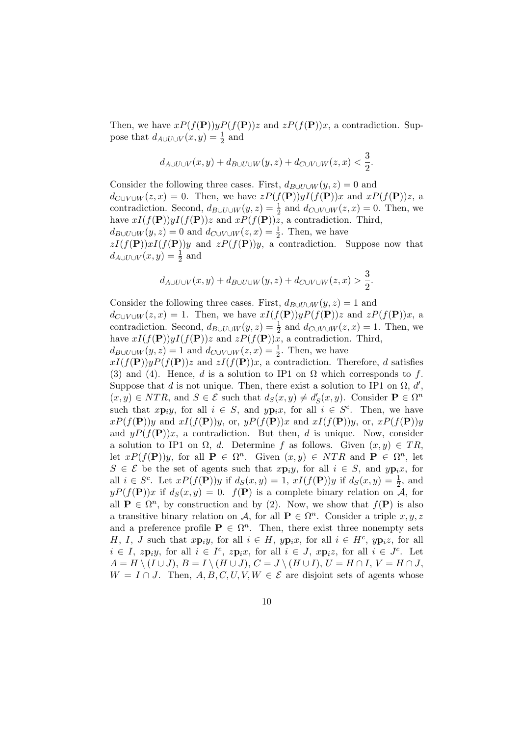Then, we have  $xP(f(\mathbf{P}))yP(f(\mathbf{P}))z$  and  $zP(f(\mathbf{P}))x$ , a contradiction. Suppose that  $d_{A\cup U\cup V}(x,y) = \frac{1}{2}$  and

$$
d_{A\cup U\cup V}(x,y)+d_{B\cup U\cup W}(y,z)+d_{C\cup V\cup W}(z,x)<\frac{3}{2}.
$$

Consider the following three cases. First,  $d_{B\cup U\cup W}(y, z) = 0$  and  $d_{C\cup V\cup W}(z, x) = 0$ . Then, we have  $zP(f(\mathbf{P}))yI(f(\mathbf{P}))x$  and  $xP(f(\mathbf{P}))z$ , a contradiction. Second,  $d_{B\cup U\cup W}(y,z) = \frac{1}{2}$  and  $d_{C\cup V\cup W}(z,x) = 0$ . Then, we have  $xI(f(\mathbf{P}))yI(f(\mathbf{P}))z$  and  $xP(f(\mathbf{P}))z$ , a contradiction. Third,  $d_{B\cup U\cup W}(y,z)=0$  and  $d_{C\cup V\cup W}(z,x)=\frac{1}{2}$ . Then, we have  $zI(f(\mathbf{P}))xI(f(\mathbf{P}))y$  and  $zP(f(\mathbf{P}))y$ , a contradiction. Suppose now that  $d_{A\cup U\cup V}(x,y)=\frac{1}{2}$  and

$$
d_{A\cup U\cup V}(x,y)+d_{B\cup U\cup W}(y,z)+d_{C\cup V\cup W}(z,x)>\frac{3}{2}.
$$

Consider the following three cases. First,  $d_{B\cup U\cup W}(y, z) = 1$  and  $d_{C\cup V\cup W}(z, x) = 1$ . Then, we have  $xI(f(\mathbf{P}))yP(f(\mathbf{P}))z$  and  $zP(f(\mathbf{P}))x$ , a contradiction. Second,  $d_{B\cup U\cup W}(y,z) = \frac{1}{2}$  and  $d_{C\cup V\cup W}(z,x) = 1$ . Then, we have  $xI(f(\mathbf{P}))yI(f(\mathbf{P}))z$  and  $zP(f(\mathbf{P}))x$ , a contradiction. Third,

 $d_{B\cup U\cup W}(y,z)=1$  and  $d_{C\cup V\cup W}(z,x)=\frac{1}{2}$ . Then, we have

 $xI(f(\mathbf{P}))yP(f(\mathbf{P}))z$  and  $zI(f(\mathbf{P}))x$ , a contradiction. Therefore, d satisfies (3) and (4). Hence, d is a solution to IP1 on  $\Omega$  which corresponds to f. Suppose that d is not unique. Then, there exist a solution to IP1 on  $\Omega$ , d',  $(x, y) \in NTR$ , and  $S \in \mathcal{E}$  such that  $d_S(x, y) \neq d'_{S}(x, y)$ . Consider  $\mathbf{P} \in \Omega^n$ such that  $x\mathbf{p}_iy$ , for all  $i \in S$ , and  $y\mathbf{p}_ix$ , for all  $i \in S^c$ . Then, we have  $xP(f(\mathbf{P}))y$  and  $xI(f(\mathbf{P}))y$ , or,  $yP(f(\mathbf{P}))x$  and  $xI(f(\mathbf{P}))y$ , or,  $xP(f(\mathbf{P}))y$ and  $yP(f(\mathbf{P}))x$ , a contradiction. But then, d is unique. Now, consider a solution to IP1 on  $\Omega$ , d. Determine f as follows. Given  $(x, y) \in TR$ , let  $xP(f(\mathbf{P}))y$ , for all  $\mathbf{P} \in \Omega^n$ . Given  $(x, y) \in NTR$  and  $\mathbf{P} \in \Omega^n$ , let  $S \in \mathcal{E}$  be the set of agents such that  $x \mathbf{p}_i y$ , for all  $i \in S$ , and  $y \mathbf{p}_i x$ , for all  $i \in S^c$ . Let  $xP(f(\mathbf{P}))y$  if  $d_S(x,y) = 1$ ,  $xI(f(\mathbf{P}))y$  if  $d_S(x,y) = \frac{1}{2}$ , and  $yP(f(\mathbf{P}))x$  if  $d_S(x,y) = 0$ .  $f(\mathbf{P})$  is a complete binary relation on A, for all  $P \in \Omega^n$ , by construction and by (2). Now, we show that  $f(P)$  is also a transitive binary relation on A, for all  $P \in \Omega^n$ . Consider a triple  $x, y, z$ and a preference profile  $P \in \Omega^n$ . Then, there exist three nonempty sets H, I, J such that  $x\mathbf{p}_iy$ , for all  $i \in H$ ,  $y\mathbf{p}_ix$ , for all  $i \in H^c$ ,  $y\mathbf{p}_iz$ , for all  $i \in I$ ,  $z\mathbf{p}_iy$ , for all  $i \in I^c$ ,  $z\mathbf{p}_ix$ , for all  $i \in J$ ,  $x\mathbf{p}_iz$ , for all  $i \in J^c$ . Let  $A = H \setminus (I \cup J), B = I \setminus (H \cup J), C = J \setminus (H \cup I), U = H \cap I, V = H \cap J,$  $W = I \cap J$ . Then, A, B, C, U, V,  $W \in \mathcal{E}$  are disjoint sets of agents whose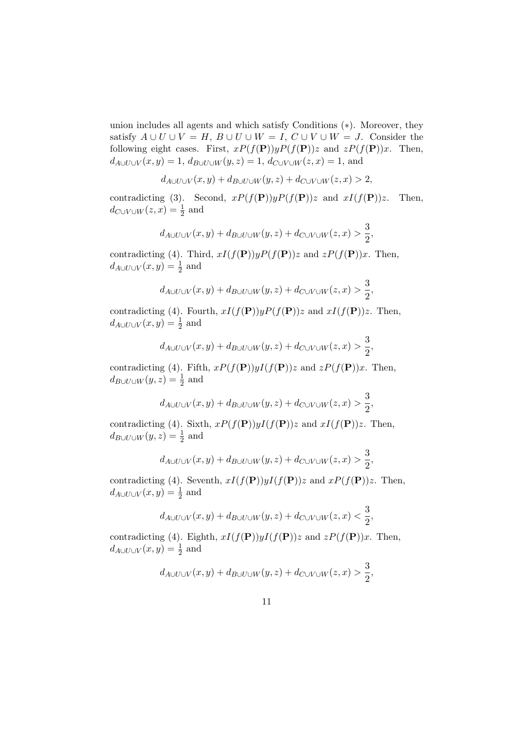union includes all agents and which satisfy Conditions (∗). Moreover, they satisfy  $A \cup U \cup V = H$ ,  $B \cup U \cup W = I$ ,  $C \cup V \cup W = J$ . Consider the following eight cases. First,  $xP(f(\mathbf{P}))yP(f(\mathbf{P}))z$  and  $zP(f(\mathbf{P}))x$ . Then,  $d_{A\cup U\cup V}(x,y) = 1, d_{B\cup U\cup W}(y,z) = 1, d_{C\cup V\cup W}(z,x) = 1$ , and

$$
d_{A\cup U\cup V}(x,y)+d_{B\cup U\cup W}(y,z)+d_{C\cup V\cup W}(z,x)>2,
$$

contradicting (3). Second,  $xP(f(\mathbf{P}))yP(f(\mathbf{P}))z$  and  $xI(f(\mathbf{P}))z$ . Then,  $d_{C\cup V\cup W}(z,x)=\frac{1}{2}$  and

$$
d_{A\cup U\cup V}(x,y)+d_{B\cup U\cup W}(y,z)+d_{C\cup V\cup W}(z,x)>\frac{3}{2},
$$

contradicting (4). Third,  $xI(f(\mathbf{P}))yP(f(\mathbf{P}))z$  and  $zP(f(\mathbf{P}))x$ . Then,  $d_{A\cup U\cup V}(x,y)=\frac{1}{2}$  and

$$
d_{A\cup U\cup V}(x,y)+d_{B\cup U\cup W}(y,z)+d_{C\cup V\cup W}(z,x)>\frac{3}{2},
$$

contradicting (4). Fourth,  $xI(f(\mathbf{P}))yP(f(\mathbf{P}))z$  and  $xI(f(\mathbf{P}))z$ . Then,  $d_{A\cup U\cup V}(x,y)=\frac{1}{2}$  and

$$
d_{A\cup U\cup V}(x,y)+d_{B\cup U\cup W}(y,z)+d_{C\cup V\cup W}(z,x)>\frac{3}{2},
$$

contradicting (4). Fifth,  $xP(f(\mathbf{P}))yI(f(\mathbf{P}))z$  and  $zP(f(\mathbf{P}))x$ . Then,  $d_{B\cup U\cup W}(y,z)=\frac{1}{2}$  and

$$
d_{A\cup U\cup V}(x,y)+d_{B\cup U\cup W}(y,z)+d_{C\cup V\cup W}(z,x)>\frac{3}{2},
$$

contradicting (4). Sixth,  $xP(f(\mathbf{P}))yI(f(\mathbf{P}))z$  and  $xI(f(\mathbf{P}))z$ . Then,  $d_{B\cup U\cup W}(y,z)=\frac{1}{2}$  and

$$
d_{A\cup U\cup V}(x,y)+d_{B\cup U\cup W}(y,z)+d_{C\cup V\cup W}(z,x)>\frac{3}{2},
$$

contradicting (4). Seventh,  $xI(f(\mathbf{P}))yI(f(\mathbf{P}))z$  and  $xP(f(\mathbf{P}))z$ . Then,  $d_{A\cup U\cup V}(x,y)=\frac{1}{2}$  and

$$
d_{A\cup U\cup V}(x,y)+d_{B\cup U\cup W}(y,z)+d_{C\cup V\cup W}(z,x)<\frac{3}{2},
$$

contradicting (4). Eighth,  $xI(f(\mathbf{P}))yI(f(\mathbf{P}))z$  and  $zP(f(\mathbf{P}))x$ . Then,  $d_{A\cup U\cup V}(x,y)=\frac{1}{2}$  and

$$
d_{A\cup U\cup V}(x,y)+d_{B\cup U\cup W}(y,z)+d_{C\cup V\cup W}(z,x)>\frac{3}{2},
$$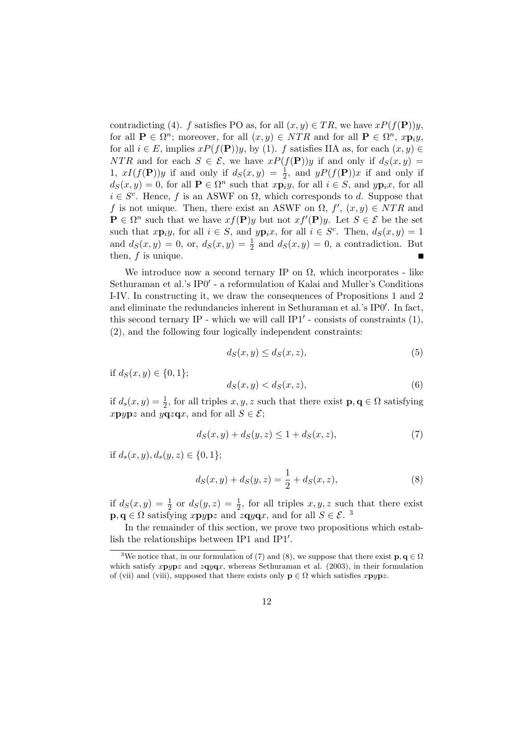contradicting (4). f satisfies PO as, for all  $(x, y) \in TR$ , we have  $xP(f(\mathbf{P}))y$ , for all  $P \in \Omega^n$ ; moreover, for all  $(x, y) \in NTR$  and for all  $P \in \Omega^n$ ,  $x \mathbf{p}_i y$ , for all  $i \in E$ , implies  $xP(f(\mathbf{P}))y$ , by (1). f satisfies IIA as, for each  $(x, y) \in$ NTR and for each  $S \in \mathcal{E}$ , we have  $xP(f(\mathbf{P}))y$  if and only if  $d_S(x, y) =$ 1,  $xI(f(\mathbf{P}))y$  if and only if  $d_S(x,y) = \frac{1}{2}$ , and  $yP(f(\mathbf{P}))x$  if and only if  $d_S(x, y) = 0$ , for all  $P \in \Omega^n$  such that  $x \overline{p_i} y$ , for all  $i \in S$ , and  $y \overline{p_i} x$ , for all  $i \in S^c$ . Hence, f is an ASWF on  $\Omega$ , which corresponds to d. Suppose that f is not unique. Then, there exist an ASWF on  $\Omega$ ,  $f'$ ,  $(x, y) \in NTR$  and  $\mathbf{P} \in \Omega^n$  such that we have  $xf(\mathbf{P})y$  but not  $xf'(\mathbf{P})y$ . Let  $S \in \mathcal{E}$  be the set such that  $x\mathbf{p}_iy$ , for all  $i \in S$ , and  $y\mathbf{p}_ix$ , for all  $i \in S^c$ . Then,  $d_S(x, y) = 1$ and  $d_S(x,y) = 0$ , or,  $d_S(x,y) = \frac{1}{2}$  and  $d_S(x,y) = 0$ , a contradiction. But then,  $f$  is unique.  $\blacksquare$ 

We introduce now a second ternary IP on  $\Omega$ , which incorporates - like Sethuraman et al.'s IP0' - a reformulation of Kalai and Muller's Conditions I-IV. In constructing it, we draw the consequences of Propositions 1 and 2 and eliminate the redundancies inherent in Sethuraman et al.'s  $IP0'$ . In fact, this second ternary IP - which we will call  $IP1'$  - consists of constraints  $(1)$ , (2), and the following four logically independent constraints:

$$
d_S(x, y) \le d_S(x, z),\tag{5}
$$

if  $d_S(x, y) \in \{0, 1\}$ ;

$$
d_S(x, y) < d_S(x, z),\tag{6}
$$

if  $d_s(x, y) = \frac{1}{2}$ , for all triples  $x, y, z$  such that there exist  $\mathbf{p}, \mathbf{q} \in \Omega$  satisfying xpypz and yqzqx, and for all  $S \in \mathcal{E}$ ;

$$
d_S(x, y) + d_S(y, z) \le 1 + d_S(x, z),\tag{7}
$$

if  $d_s(x, y)$ ,  $d_s(y, z) \in \{0, 1\}$ ;

$$
d_S(x, y) + d_S(y, z) = \frac{1}{2} + d_S(x, z),
$$
\n(8)

if  $d_S(x,y) = \frac{1}{2}$  or  $d_S(y,z) = \frac{1}{2}$ , for all triples  $x, y, z$  such that there exist  $\mathbf{p}, \mathbf{q} \in \Omega$  satisfying xpypz and zqyqx, and for all  $S \in \mathcal{E}$ .

In the remainder of this section, we prove two propositions which establish the relationships between  $IP1$  and  $IP1'$ .

<sup>&</sup>lt;sup>3</sup>We notice that, in our formulation of (7) and (8), we suppose that there exist  $\mathbf{p}, \mathbf{q} \in \Omega$ which satisfy  $xpypz$  and  $zqyqx$ , whereas Sethuraman et al. (2003), in their formulation of (vii) and (viii), supposed that there exists only  $\mathbf{p} \in \Omega$  which satisfies  $x \mathbf{p} y \mathbf{p} z$ .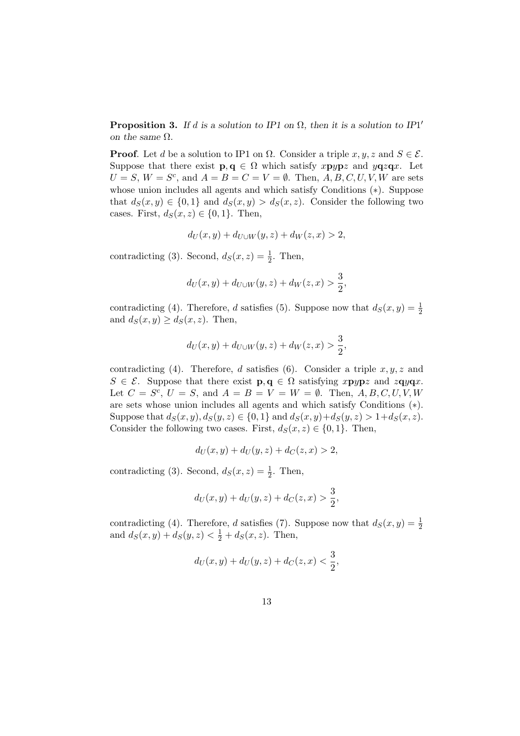**Proposition 3.** If d is a solution to IP1 on  $\Omega$ , then it is a solution to IP1' on the same  $\Omega$ .

**Proof.** Let d be a solution to IP1 on  $\Omega$ . Consider a triple  $x, y, z$  and  $S \in \mathcal{E}$ . Suppose that there exist  $\mathbf{p}, \mathbf{q} \in \Omega$  which satisfy  $x \mathbf{p} y \mathbf{p} z$  and  $y \mathbf{q} z \mathbf{q} x$ . Let  $U = S$ ,  $W = S^c$ , and  $A = B = C = V = \emptyset$ . Then,  $A, B, C, U, V, W$  are sets whose union includes all agents and which satisfy Conditions (∗). Suppose that  $d_S(x, y) \in \{0, 1\}$  and  $d_S(x, y) > d_S(x, z)$ . Consider the following two cases. First,  $d_S(x, z) \in \{0, 1\}$ . Then,

$$
d_U(x, y) + d_{U \cup W}(y, z) + d_W(z, x) > 2,
$$

contradicting (3). Second,  $d_S(x, z) = \frac{1}{2}$ . Then,

$$
d_U(x, y) + d_{U \cup W}(y, z) + d_W(z, x) > \frac{3}{2},
$$

contradicting (4). Therefore, d satisfies (5). Suppose now that  $d_S(x, y) = \frac{1}{2}$ and  $d_S(x, y) \geq d_S(x, z)$ . Then,

$$
d_U(x,y) + d_{U \cup W}(y,z) + d_W(z,x) > \frac{3}{2},
$$

contradicting (4). Therefore, d satisfies (6). Consider a triple  $x, y, z$  and  $S \in \mathcal{E}$ . Suppose that there exist  $p, q \in \Omega$  satisfying xpypz and zqyqx. Let  $C = S^c$ ,  $U = S$ , and  $A = B = V = W = \emptyset$ . Then,  $A, B, C, U, V, W$ are sets whose union includes all agents and which satisfy Conditions (∗). Suppose that  $d_S(x, y), d_S(y, z) \in \{0, 1\}$  and  $d_S(x, y) + d_S(y, z) > 1 + d_S(x, z)$ . Consider the following two cases. First,  $d_S(x, z) \in \{0, 1\}$ . Then,

$$
d_U(x, y) + d_U(y, z) + d_C(z, x) > 2,
$$

contradicting (3). Second,  $d_S(x, z) = \frac{1}{2}$ . Then,

$$
d_U(x, y) + d_U(y, z) + d_C(z, x) > \frac{3}{2},
$$

contradicting (4). Therefore, d satisfies (7). Suppose now that  $d_S(x, y) = \frac{1}{2}$ and  $d_S(x, y) + d_S(y, z) < \frac{1}{2} + d_S(x, z)$ . Then,

$$
d_U(x, y) + d_U(y, z) + d_C(z, x) < \frac{3}{2},
$$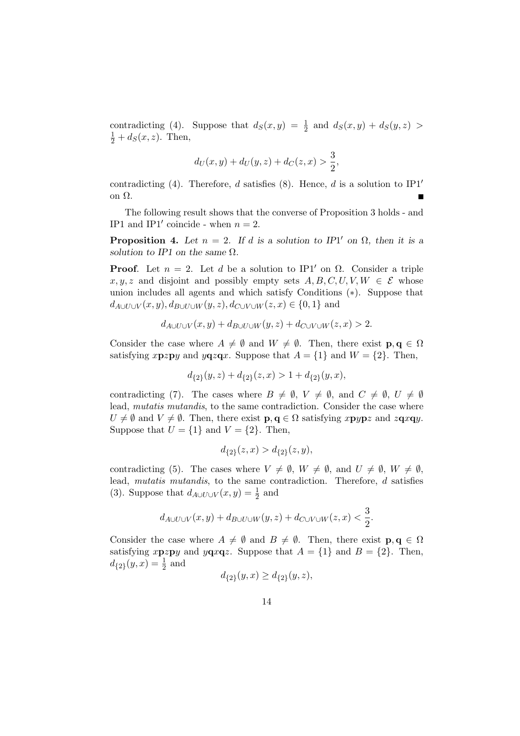contradicting (4). Suppose that  $d_S(x, y) = \frac{1}{2}$  and  $d_S(x, y) + d_S(y, z)$  $\frac{1}{2} + d_S(x, z)$ . Then,

$$
d_U(x, y) + d_U(y, z) + d_C(z, x) > \frac{3}{2},
$$

contradicting (4). Therefore, d satisfies (8). Hence, d is a solution to  $IP1'$ on Ω.  $\blacksquare$ 

The following result shows that the converse of Proposition 3 holds - and IP1 and IP1' coincide - when  $n = 2$ .

**Proposition 4.** Let  $n = 2$ . If d is a solution to IP1' on  $\Omega$ , then it is a solution to IP1 on the same  $\Omega$ .

**Proof.** Let  $n = 2$ . Let d be a solution to IP1' on  $\Omega$ . Consider a triple  $x, y, z$  and disjoint and possibly empty sets  $A, B, C, U, V, W \in \mathcal{E}$  whose union includes all agents and which satisfy Conditions (∗). Suppose that  $d_{A\cup U\cup V}(x, y), d_{B\cup U\cup W}(y, z), d_{C\cup V\cup W}(z, x) \in \{0, 1\}$  and

$$
d_{A\cup U\cup V}(x,y) + d_{B\cup U\cup W}(y,z) + d_{C\cup V\cup W}(z,x) > 2.
$$

Consider the case where  $A \neq \emptyset$  and  $W \neq \emptyset$ . Then, there exist  $p, q \in \Omega$ satisfying xpzpy and yqzqx. Suppose that  $A = \{1\}$  and  $W = \{2\}$ . Then,

$$
d_{\{2\}}(y,z) + d_{\{2\}}(z,x) > 1 + d_{\{2\}}(y,x),
$$

contradicting (7). The cases where  $B \neq \emptyset$ ,  $V \neq \emptyset$ , and  $C \neq \emptyset$ ,  $U \neq \emptyset$ lead, *mutatis mutandis*, to the same contradiction. Consider the case where  $U \neq \emptyset$  and  $V \neq \emptyset$ . Then, there exist  $p, q \in \Omega$  satisfying xpypz and zqxqy. Suppose that  $U = \{1\}$  and  $V = \{2\}$ . Then,

$$
d_{\{2\}}(z,x)>d_{\{2\}}(z,y),
$$

contradicting (5). The cases where  $V \neq \emptyset$ ,  $W \neq \emptyset$ , and  $U \neq \emptyset$ ,  $W \neq \emptyset$ , lead, mutatis mutandis, to the same contradiction. Therefore, d satisfies (3). Suppose that  $d_{A\cup U\cup V}(x,y) = \frac{1}{2}$  and

$$
d_{A\cup U\cup V}(x,y)+d_{B\cup U\cup W}(y,z)+d_{C\cup V\cup W}(z,x)<\frac{3}{2}.
$$

Consider the case where  $A \neq \emptyset$  and  $B \neq \emptyset$ . Then, there exist  $p, q \in \Omega$ satisfying xpzpy and yqxqz. Suppose that  $A = \{1\}$  and  $B = \{2\}$ . Then,  $d_{\{2\}}(y,x) = \frac{1}{2}$  and

$$
d_{\{2\}}(y,x) \ge d_{\{2\}}(y,z),
$$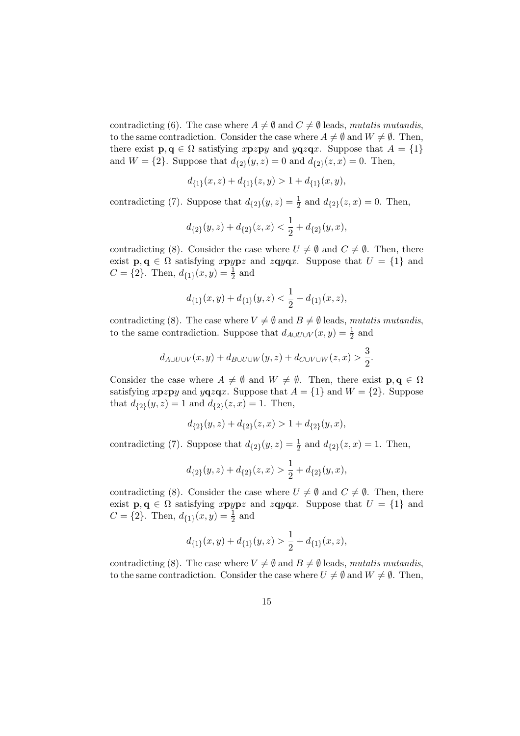contradicting (6). The case where  $A \neq \emptyset$  and  $C \neq \emptyset$  leads, mutatis mutandis, to the same contradiction. Consider the case where  $A \neq \emptyset$  and  $W \neq \emptyset$ . Then, there exist  $\mathbf{p}, \mathbf{q} \in \Omega$  satisfying xpzpy and yqzqx. Suppose that  $A = \{1\}$ and  $W = \{2\}$ . Suppose that  $d_{\{2\}}(y, z) = 0$  and  $d_{\{2\}}(z, x) = 0$ . Then,

$$
d_{\{1\}}(x,z) + d_{\{1\}}(z,y) > 1 + d_{\{1\}}(x,y),
$$

contradicting (7). Suppose that  $d_{\{2\}}(y, z) = \frac{1}{2}$  and  $d_{\{2\}}(z, x) = 0$ . Then,

$$
d_{\{2\}}(y,z)+d_{\{2\}}(z,x)<\frac{1}{2}+d_{\{2\}}(y,x),
$$

contradicting (8). Consider the case where  $U \neq \emptyset$  and  $C \neq \emptyset$ . Then, there exist  $\mathbf{p}, \mathbf{q} \in \Omega$  satisfying xpypz and zqyqx. Suppose that  $U = \{1\}$  and  $C = \{2\}$ . Then,  $d_{\{1\}}(x, y) = \frac{1}{2}$  and

$$
d_{\{1\}}(x,y)+d_{\{1\}}(y,z)<\frac{1}{2}+d_{\{1\}}(x,z),
$$

contradicting (8). The case where  $V \neq \emptyset$  and  $B \neq \emptyset$  leads, mutatis mutandis, to the same contradiction. Suppose that  $d_{A\cup U\cup V}(x,y) = \frac{1}{2}$  and

$$
d_{A\cup U\cup V}(x,y)+d_{B\cup U\cup W}(y,z)+d_{C\cup V\cup W}(z,x)>\frac{3}{2}.
$$

Consider the case where  $A \neq \emptyset$  and  $W \neq \emptyset$ . Then, there exist  $p, q \in \Omega$ satisfying xpzpy and yqzqx. Suppose that  $A = \{1\}$  and  $W = \{2\}$ . Suppose that  $d_{\{2\}}(y, z) = 1$  and  $d_{\{2\}}(z, x) = 1$ . Then,

$$
d_{\{2\}}(y,z) + d_{\{2\}}(z,x) > 1 + d_{\{2\}}(y,x),
$$

contradicting (7). Suppose that  $d_{\{2\}}(y, z) = \frac{1}{2}$  and  $d_{\{2\}}(z, x) = 1$ . Then,

$$
d_{\{2\}}(y,z)+d_{\{2\}}(z,x)>\frac{1}{2}+d_{\{2\}}(y,x),
$$

contradicting (8). Consider the case where  $U \neq \emptyset$  and  $C \neq \emptyset$ . Then, there exist  $\mathbf{p}, \mathbf{q} \in \Omega$  satisfying xpypz and zqyqx. Suppose that  $U = \{1\}$  and  $C = \{2\}$ . Then,  $d_{\{1\}}(x, y) = \frac{1}{2}$  and

$$
d_{\{1\}}(x,y)+d_{\{1\}}(y,z)>\frac{1}{2}+d_{\{1\}}(x,z),
$$

contradicting (8). The case where  $V \neq \emptyset$  and  $B \neq \emptyset$  leads, mutatis mutandis, to the same contradiction. Consider the case where  $U \neq \emptyset$  and  $W \neq \emptyset$ . Then,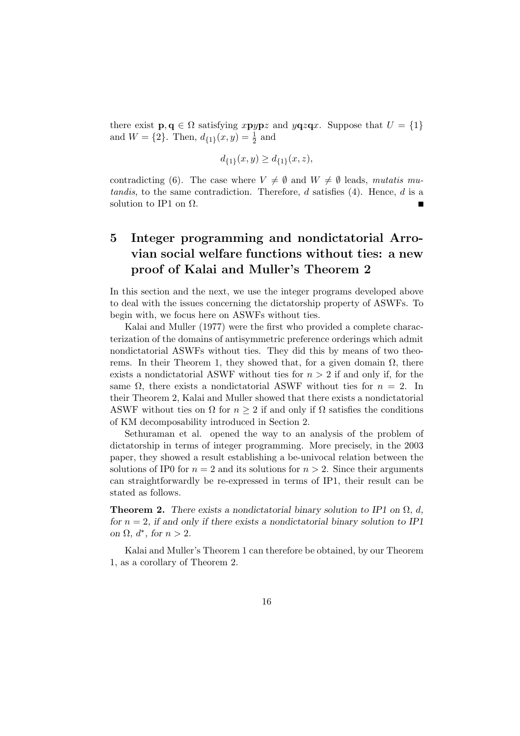there exist  $\mathbf{p}, \mathbf{q} \in \Omega$  satisfying xpypz and yqzqx. Suppose that  $U = \{1\}$ and  $W = \{2\}$ . Then,  $d_{\{1\}}(x, y) = \frac{1}{2}$  and

$$
d_{\{1\}}(x,y) \ge d_{\{1\}}(x,z),
$$

contradicting (6). The case where  $V \neq \emptyset$  and  $W \neq \emptyset$  leads, mutatis mutandis, to the same contradiction. Therefore,  $d$  satisfies  $(4)$ . Hence,  $d$  is a solution to IP1 on  $\Omega$ .

## 5 Integer programming and nondictatorial Arrovian social welfare functions without ties: a new proof of Kalai and Muller's Theorem 2

In this section and the next, we use the integer programs developed above to deal with the issues concerning the dictatorship property of ASWFs. To begin with, we focus here on ASWFs without ties.

Kalai and Muller (1977) were the first who provided a complete characterization of the domains of antisymmetric preference orderings which admit nondictatorial ASWFs without ties. They did this by means of two theorems. In their Theorem 1, they showed that, for a given domain  $\Omega$ , there exists a nondictatorial ASWF without ties for  $n > 2$  if and only if, for the same  $\Omega$ , there exists a nondictatorial ASWF without ties for  $n = 2$ . In their Theorem 2, Kalai and Muller showed that there exists a nondictatorial ASWF without ties on  $\Omega$  for  $n \geq 2$  if and only if  $\Omega$  satisfies the conditions of KM decomposability introduced in Section 2.

Sethuraman et al. opened the way to an analysis of the problem of dictatorship in terms of integer programming. More precisely, in the 2003 paper, they showed a result establishing a be-univocal relation between the solutions of IP0 for  $n = 2$  and its solutions for  $n > 2$ . Since their arguments can straightforwardly be re-expressed in terms of IP1, their result can be stated as follows.

**Theorem 2.** There exists a nondictatorial binary solution to IP1 on  $\Omega$ , d, for  $n = 2$ , if and only if there exists a nondictatorial binary solution to IP1 on  $\Omega$ ,  $d^*$ , for  $n > 2$ .

Kalai and Muller's Theorem 1 can therefore be obtained, by our Theorem 1, as a corollary of Theorem 2.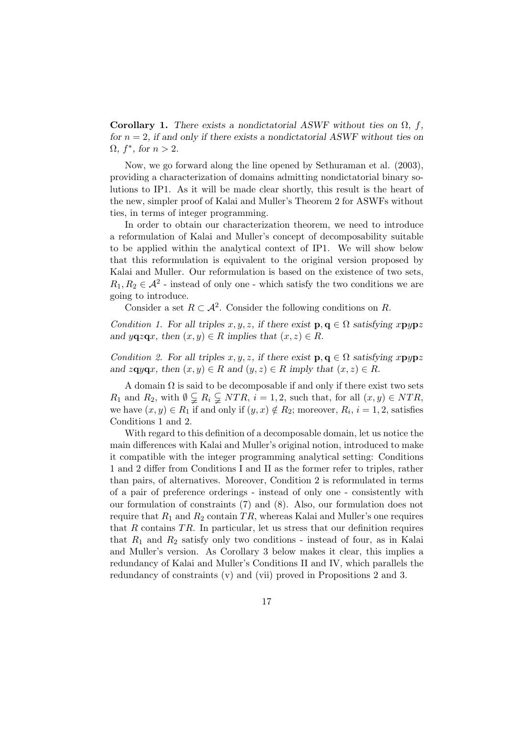Corollary 1. There exists a nondictatorial ASWF without ties on  $\Omega$ , f, for  $n = 2$ , if and only if there exists a nondictatorial ASWF without ties on  $\Omega$ ,  $f^*$ , for  $n > 2$ .

Now, we go forward along the line opened by Sethuraman et al. (2003), providing a characterization of domains admitting nondictatorial binary solutions to IP1. As it will be made clear shortly, this result is the heart of the new, simpler proof of Kalai and Muller's Theorem 2 for ASWFs without ties, in terms of integer programming.

In order to obtain our characterization theorem, we need to introduce a reformulation of Kalai and Muller's concept of decomposability suitable to be applied within the analytical context of IP1. We will show below that this reformulation is equivalent to the original version proposed by Kalai and Muller. Our reformulation is based on the existence of two sets,  $R_1, R_2 \in \mathcal{A}^2$  - instead of only one - which satisfy the two conditions we are going to introduce.

Consider a set  $R \subset \mathcal{A}^2$ . Consider the following conditions on R.

Condition 1. For all triples x, y, z, if there exist  $\mathbf{p}, \mathbf{q} \in \Omega$  satisfying xpypz and  $y\mathbf{q}z\mathbf{q}x$ , then  $(x, y) \in R$  implies that  $(x, z) \in R$ .

Condition 2. For all triples x, y, z, if there exist  $\mathbf{p}, \mathbf{q} \in \Omega$  satisfying xpypz and zqyqx, then  $(x, y) \in R$  and  $(y, z) \in R$  imply that  $(x, z) \in R$ .

A domain  $\Omega$  is said to be decomposable if and only if there exist two sets  $R_1$  and  $R_2$ , with  $\emptyset \subsetneq R_i \subsetneq NTR$ ,  $i = 1, 2$ , such that, for all  $(x, y) \in NTR$ , we have  $(x, y) \in R_1$  if and only if  $(y, x) \notin R_2$ ; moreover,  $R_i$ ,  $i = 1, 2$ , satisfies Conditions 1 and 2.

With regard to this definition of a decomposable domain, let us notice the main differences with Kalai and Muller's original notion, introduced to make it compatible with the integer programming analytical setting: Conditions 1 and 2 differ from Conditions I and II as the former refer to triples, rather than pairs, of alternatives. Moreover, Condition 2 is reformulated in terms of a pair of preference orderings - instead of only one - consistently with our formulation of constraints (7) and (8). Also, our formulation does not require that  $R_1$  and  $R_2$  contain TR, whereas Kalai and Muller's one requires that  $R$  contains  $TR$ . In particular, let us stress that our definition requires that  $R_1$  and  $R_2$  satisfy only two conditions - instead of four, as in Kalai and Muller's version. As Corollary 3 below makes it clear, this implies a redundancy of Kalai and Muller's Conditions II and IV, which parallels the redundancy of constraints (v) and (vii) proved in Propositions 2 and 3.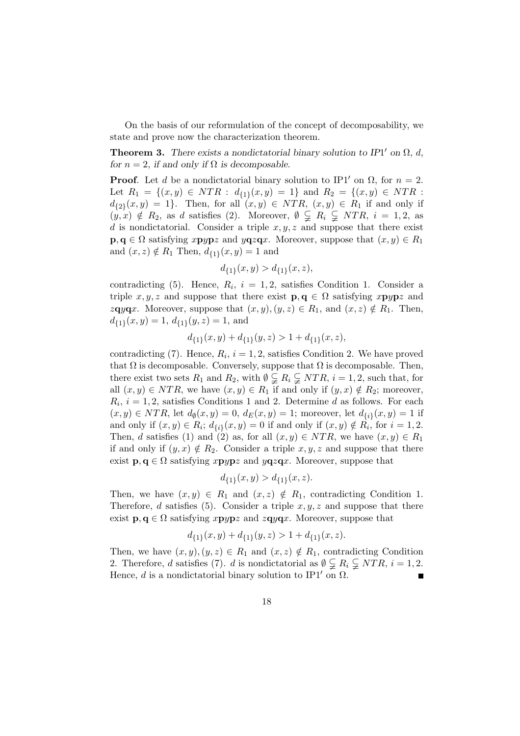On the basis of our reformulation of the concept of decomposability, we state and prove now the characterization theorem.

**Theorem 3.** There exists a nondictatorial binary solution to IP1' on  $\Omega$ , d, for  $n = 2$ , if and only if  $\Omega$  is decomposable.

**Proof.** Let d be a nondictatorial binary solution to IP1' on  $\Omega$ , for  $n = 2$ . Let  $R_1 = \{(x, y) \in NTR : d_{\{1\}}(x, y) = 1\}$  and  $R_2 = \{(x, y) \in NTR :$  $d_{\{2\}}(x,y) = 1$ . Then, for all  $(x,y) \in NTR$ ,  $(x,y) \in R_1$  if and only if  $(y, x) \notin R_2$ , as d satisfies (2). Moreover,  $\emptyset \subsetneq R_i \subsetneq NTR$ ,  $i = 1, 2$ , as d is nondictatorial. Consider a triple  $x, y, z$  and suppose that there exist  $\mathbf{p}, \mathbf{q} \in \Omega$  satisfying xpypz and yqzqx. Moreover, suppose that  $(x, y) \in R_1$ and  $(x, z) \notin R_1$  Then,  $d_{\{1\}}(x, y) = 1$  and

$$
d_{\{1\}}(x,y) > d_{\{1\}}(x,z),
$$

contradicting (5). Hence,  $R_i$ ,  $i = 1, 2$ , satisfies Condition 1. Consider a triple x, y, z and suppose that there exist  $\mathbf{p}, \mathbf{q} \in \Omega$  satisfying xpypz and  $z\mathbf{q}y\mathbf{q}x$ . Moreover, suppose that  $(x, y), (y, z) \in R_1$ , and  $(x, z) \notin R_1$ . Then,  $d_{\{1\}}(x, y) = 1, d_{\{1\}}(y, z) = 1$ , and

$$
d_{\{1\}}(x,y) + d_{\{1\}}(y,z) > 1 + d_{\{1\}}(x,z),
$$

contradicting (7). Hence,  $R_i$ ,  $i = 1, 2$ , satisfies Condition 2. We have proved that  $\Omega$  is decomposable. Conversely, suppose that  $\Omega$  is decomposable. Then, there exist two sets  $R_1$  and  $R_2$ , with  $\emptyset \subsetneq R_i \subsetneq NTR$ ,  $i = 1, 2$ , such that, for all  $(x, y) \in NTR$ , we have  $(x, y) \in R_1$  if and only if  $(y, x) \notin R_2$ ; moreover,  $R_i$ ,  $i = 1, 2$ , satisfies Conditions 1 and 2. Determine d as follows. For each  $(x, y) \in NTR$ , let  $d_{\emptyset}(x, y) = 0$ ,  $d_E(x, y) = 1$ ; moreover, let  $d_{\{i\}}(x, y) = 1$  if and only if  $(x, y) \in R_i$ ;  $d_{\{i\}}(x, y) = 0$  if and only if  $(x, y) \notin R_i$ , for  $i = 1, 2$ . Then, d satisfies (1) and (2) as, for all  $(x, y) \in NTR$ , we have  $(x, y) \in R_1$ if and only if  $(y, x) \notin R_2$ . Consider a triple  $x, y, z$  and suppose that there exist  $\mathbf{p}, \mathbf{q} \in \Omega$  satisfying  $x \mathbf{p} y \mathbf{p} z$  and  $y \mathbf{q} z \mathbf{q} x$ . Moreover, suppose that

$$
d_{\{1\}}(x,y) > d_{\{1\}}(x,z).
$$

Then, we have  $(x, y) \in R_1$  and  $(x, z) \notin R_1$ , contradicting Condition 1. Therefore, d satisfies (5). Consider a triple  $x, y, z$  and suppose that there exist  $\mathbf{p}, \mathbf{q} \in \Omega$  satisfying xpypz and zqyqx. Moreover, suppose that

$$
d_{\{1\}}(x,y) + d_{\{1\}}(y,z) > 1 + d_{\{1\}}(x,z).
$$

Then, we have  $(x, y), (y, z) \in R_1$  and  $(x, z) \notin R_1$ , contradicting Condition 2. Therefore, d satisfies (7). d is nondictatorial as  $\emptyset \subsetneq R_i \subsetneq NTR$ ,  $i = 1, 2$ . Hence, d is a nondictatorial binary solution to IP1' on  $\Omega$ .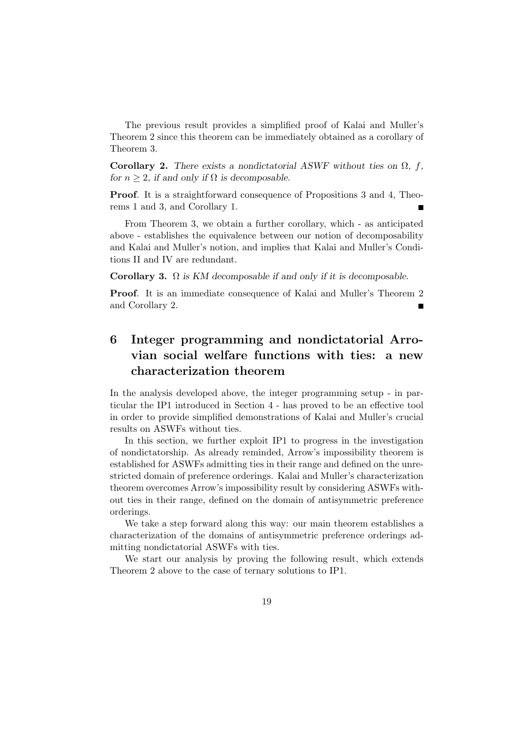The previous result provides a simplified proof of Kalai and Muller's Theorem 2 since this theorem can be immediately obtained as a corollary of Theorem 3.

Corollary 2. There exists a nondictatorial ASWF without ties on  $\Omega$ , f, for  $n \geq 2$ , if and only if  $\Omega$  is decomposable.

Proof. It is a straightforward consequence of Propositions 3 and 4, Theorems 1 and 3, and Corollary 1.

From Theorem 3, we obtain a further corollary, which - as anticipated above - establishes the equivalence between our notion of decomposability and Kalai and Muller's notion, and implies that Kalai and Muller's Conditions II and IV are redundant.

Corollary 3.  $\Omega$  is KM decomposable if and only if it is decomposable.

Proof. It is an immediate consequence of Kalai and Muller's Theorem 2 and Corollary 2.

### 6 Integer programming and nondictatorial Arrovian social welfare functions with ties: a new characterization theorem

In the analysis developed above, the integer programming setup - in particular the IP1 introduced in Section 4 - has proved to be an effective tool in order to provide simplified demonstrations of Kalai and Muller's crucial results on ASWFs without ties.

In this section, we further exploit IP1 to progress in the investigation of nondictatorship. As already reminded, Arrow's impossibility theorem is established for ASWFs admitting ties in their range and defined on the unrestricted domain of preference orderings. Kalai and Muller's characterization theorem overcomes Arrow's impossibility result by considering ASWFs without ties in their range, defined on the domain of antisymmetric preference orderings.

We take a step forward along this way: our main theorem establishes a characterization of the domains of antisymmetric preference orderings admitting nondictatorial ASWFs with ties.

We start our analysis by proving the following result, which extends Theorem 2 above to the case of ternary solutions to IP1.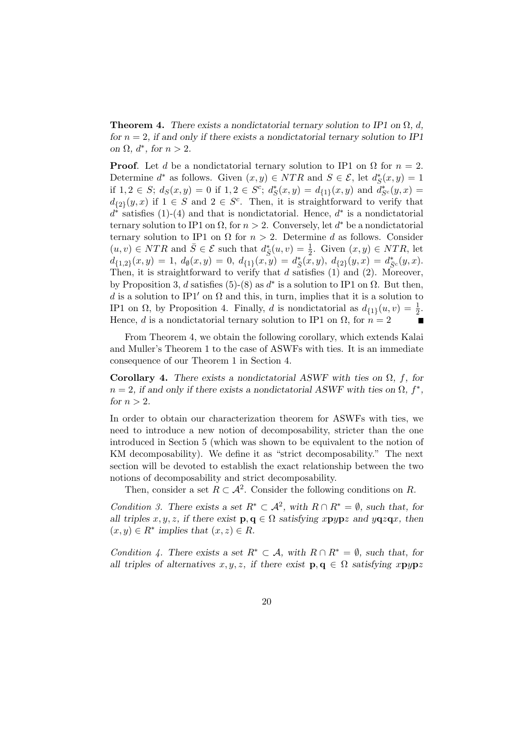**Theorem 4.** There exists a nondictatorial ternary solution to IP1 on  $\Omega$ , d, for  $n = 2$ , if and only if there exists a nondictatorial ternary solution to IP1 on  $\Omega$ ,  $d^*$ , for  $n > 2$ .

**Proof.** Let d be a nondictatorial ternary solution to IP1 on  $\Omega$  for  $n = 2$ . Determine  $d^*$  as follows. Given  $(x, y) \in NTR$  and  $S \in \mathcal{E}$ , let  $d_S^*(x, y) = 1$ if  $1, 2 \in S$ ;  $d_S(x, y) = 0$  if  $1, 2 \in S^c$ ;  $d_S^*(x, y) = d_{\{1\}}(x, y)$  and  $d_{S^c}^*(y, x) =$  $d_{\{2\}}(y,x)$  if  $1 \in S$  and  $2 \in S^c$ . Then, it is straightforward to verify that  $d^*$  satisfies (1)-(4) and that is nondictatorial. Hence,  $d^*$  is a nondictatorial ternary solution to IP1 on  $\Omega$ , for  $n > 2$ . Conversely, let  $d^*$  be a nondictatorial ternary solution to IP1 on  $\Omega$  for  $n > 2$ . Determine d as follows. Consider  $(u, v) \in NTR$  and  $\overline{S} \in \mathcal{E}$  such that  $d_{\overline{S}}^*(u, v) = \frac{1}{2}$ . Given  $(x, y) \in NTR$ , let  $d_{\{1,2\}}(x,y) = 1, d_{\emptyset}(x,y) = 0, d_{\{1\}}(x,y) = d_{\bar{S}}^*(x,y), d_{\{2\}}(y,x) = d_{\bar{S}^c}^*(y,x).$ Then, it is straightforward to verify that  $d$  satisfies (1) and (2). Moreover, by Proposition 3, d satisfies (5)-(8) as  $d^*$  is a solution to IP1 on  $\Omega$ . But then, d is a solution to IP1<sup>'</sup> on  $\Omega$  and this, in turn, implies that it is a solution to IP1 on  $\Omega$ , by Proposition 4. Finally, d is nondictatorial as  $d_{\{1\}}(u, v) = \frac{1}{2}$ . Hence, d is a nondictatorial ternary solution to IP1 on  $\Omega$ , for  $n = 2$  $\blacksquare$ 

From Theorem 4, we obtain the following corollary, which extends Kalai and Muller's Theorem 1 to the case of ASWFs with ties. It is an immediate consequence of our Theorem 1 in Section 4.

Corollary 4. There exists a nondictatorial ASWF with ties on  $\Omega$ , f, for  $n = 2$ , if and only if there exists a nondictatorial ASWF with ties on  $\Omega$ ,  $f^*$ , for  $n > 2$ .

In order to obtain our characterization theorem for ASWFs with ties, we need to introduce a new notion of decomposability, stricter than the one introduced in Section 5 (which was shown to be equivalent to the notion of KM decomposability). We define it as "strict decomposability." The next section will be devoted to establish the exact relationship between the two notions of decomposability and strict decomposability.

Then, consider a set  $R \subset \mathcal{A}^2$ . Consider the following conditions on R.

Condition 3. There exists a set  $R^* \subset \mathcal{A}^2$ , with  $R \cap R^* = \emptyset$ , such that, for all triples  $x, y, z$ , if there exist  $\mathbf{p}, \mathbf{q} \in \Omega$  satisfying xpypz and yqzqx, then  $(x, y) \in R^*$  implies that  $(x, z) \in R$ .

Condition 4. There exists a set  $R^* \subset \mathcal{A}$ , with  $R \cap R^* = \emptyset$ , such that, for all triples of alternatives  $x, y, z$ , if there exist  $\mathbf{p}, \mathbf{q} \in \Omega$  satisfying  $x \mathbf{p} y \mathbf{p} z$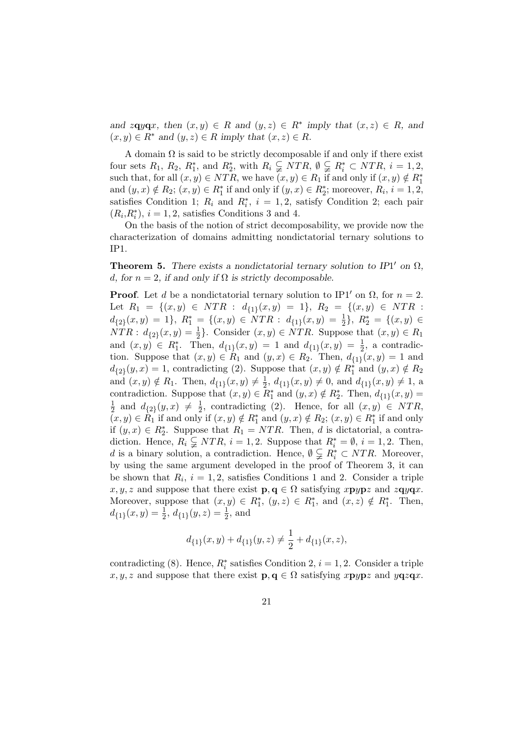and  $z \mathbf{q} y \mathbf{q} x$ , then  $(x, y) \in R$  and  $(y, z) \in R^*$  imply that  $(x, z) \in R$ , and  $(x, y) \in R^*$  and  $(y, z) \in R$  imply that  $(x, z) \in R$ .

A domain  $\Omega$  is said to be strictly decomposable if and only if there exist four sets  $R_1$ ,  $R_2$ ,  $R_1^*$ , and  $R_2^*$ , with  $R_i \subsetneq NTR$ ,  $\emptyset \subsetneq R_i^* \subset NTR$ ,  $i = 1, 2$ , such that, for all  $(x, y) \in NTR$ , we have  $(x, y) \in R_1$  if and only if  $(x, y) \notin R_1^*$ and  $(y, x) \notin R_2$ ;  $(x, y) \in R_1^*$  if and only if  $(y, x) \in R_2^*$ ; moreover,  $R_i$ ,  $i = 1, 2$ , satisfies Condition 1;  $R_i$  and  $R_i^*$ ,  $i = 1, 2$ , satisfy Condition 2; each pair  $(R_i, R_i^*), i = 1, 2$ , satisfies Conditions 3 and 4.

On the basis of the notion of strict decomposability, we provide now the characterization of domains admitting nondictatorial ternary solutions to IP1.

**Theorem 5.** There exists a nondictatorial ternary solution to IP1' on  $\Omega$ , d, for  $n = 2$ , if and only if  $\Omega$  is strictly decomposable.

**Proof.** Let d be a nondictatorial ternary solution to IP1' on  $\Omega$ , for  $n = 2$ . Let  $R_1 = \{(x, y) \in NTR : d_{\{1\}}(x, y) = 1\}, R_2 = \{(x, y) \in NTR :$  $d_{\{2\}}(x,y) = 1$ ,  $R_1^* = \{(x,y) \in \overline{NTR} : d_{\{1\}}(x,y) = \frac{1}{2}\}, R_2^* = \{(x,y) \in \overline{NTR} : d_{\{1\}}(x,y) = \frac{1}{2}\}$  $\overline{NTR}: d_{2}(x,y) = \frac{1}{2}$ . Consider  $(x,y) \in \overline{NTR}$ . Suppose that  $(x,y) \in R_1$ and  $(x, y) \in R_1^*$ . Then,  $d_{\{1\}}(x, y) = 1$  and  $d_{\{1\}}(x, y) = \frac{1}{2}$ , a contradiction. Suppose that  $(x, y) \in R_1$  and  $(y, x) \in R_2$ . Then,  $d_{\{1\}}(x, y) = 1$  and  $d_{\{2\}}(y,x) = 1$ , contradicting (2). Suppose that  $(x,y) \notin R_1^*$  and  $(y,x) \notin R_2$ and  $(x, y) \notin R_1$ . Then,  $d_{\{1\}}(x, y) \neq \frac{1}{2}$  $\frac{1}{2}$ ,  $d_{\{1\}}(x, y) \neq 0$ , and  $d_{\{1\}}(x, y) \neq 1$ , a contradiction. Suppose that  $(x, y) \in \overline{R}_1^*$  and  $(y, x) \notin R_2^*$ . Then,  $d_{\{1\}}(x, y) =$ 1  $\frac{1}{2}$  and  $d_{\{2\}}(y,x) \neq \frac{1}{2}$  $\frac{1}{2}$ , contradicting (2). Hence, for all  $(x, y) \in NTR$ ,  $(x, y) \in R_1$  if and only if  $(x, y) \notin R_1^*$  and  $(y, x) \notin R_2$ ;  $(x, y) \in R_1^*$  if and only if  $(y, x) \in R_2^*$ . Suppose that  $R_1 = NTR$ . Then, d is dictatorial, a contradiction. Hence,  $R_i \subsetneq NTR$ ,  $i = 1, 2$ . Suppose that  $R_i^* = \emptyset$ ,  $i = 1, 2$ . Then, d is a binary solution, a contradiction. Hence,  $\emptyset \subsetneq R_i^* \subset NTR$ . Moreover, by using the same argument developed in the proof of Theorem 3, it can be shown that  $R_i$ ,  $i = 1, 2$ , satisfies Conditions 1 and 2. Consider a triple  $x, y, z$  and suppose that there exist  $\mathbf{p}, \mathbf{q} \in \Omega$  satisfying  $x \mathbf{p} y \mathbf{p} z$  and  $z \mathbf{q} y \mathbf{q} x$ . Moreover, suppose that  $(x, y) \in R_1^*$ ,  $(y, z) \in R_1^*$ , and  $(x, z) \notin R_1^*$ . Then,  $d_{\{1\}}(x,y) = \frac{1}{2}, d_{\{1\}}(y,z) = \frac{1}{2}$ , and

$$
d_{\{1\}}(x,y)+d_{\{1\}}(y,z)\neq\frac{1}{2}+d_{\{1\}}(x,z),
$$

contradicting (8). Hence,  $R_i^*$  satisfies Condition 2,  $i = 1, 2$ . Consider a triple  $x, y, z$  and suppose that there exist  $\mathbf{p}, \mathbf{q} \in \Omega$  satisfying  $x \mathbf{p} y \mathbf{p} z$  and  $y \mathbf{q} z \mathbf{q} x$ .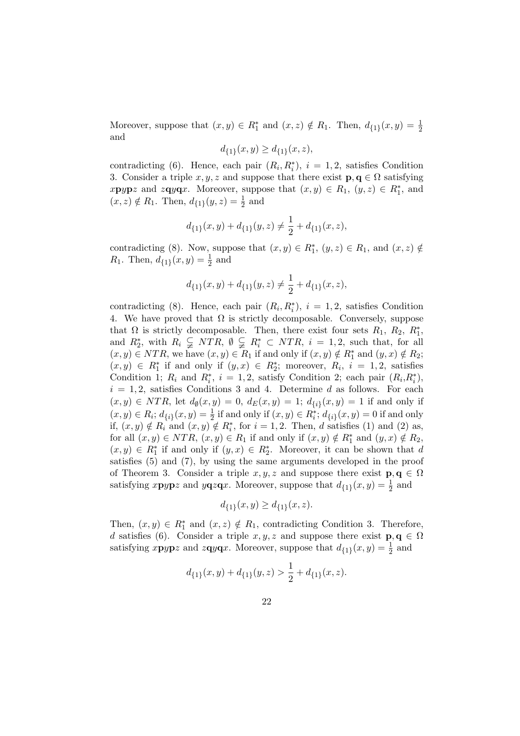Moreover, suppose that  $(x, y) \in R_1^*$  and  $(x, z) \notin R_1$ . Then,  $d_{\{1\}}(x, y) = \frac{1}{2}$ and

$$
d_{\{1\}}(x,y) \ge d_{\{1\}}(x,z),
$$

contradicting (6). Hence, each pair  $(R_i, R_i^*), i = 1, 2$ , satisfies Condition 3. Consider a triple x, y, z and suppose that there exist  $\mathbf{p}, \mathbf{q} \in \Omega$  satisfying  $x$ **p**ypz and  $z$ **q**y**q**x. Moreover, suppose that  $(x, y) \in R_1$ ,  $(y, z) \in R_1^*$ , and  $(x, z) \notin R_1$ . Then,  $d_{\{1\}}(y, z) = \frac{1}{2}$  and

$$
d_{\{1\}}(x,y)+d_{\{1\}}(y,z)\neq\frac{1}{2}+d_{\{1\}}(x,z),
$$

contradicting (8). Now, suppose that  $(x, y) \in R_1^*$ ,  $(y, z) \in R_1$ , and  $(x, z) \notin$  $R_1$ . Then,  $d_{\{1\}}(x, y) = \frac{1}{2}$  and

$$
d_{\{1\}}(x,y)+d_{\{1\}}(y,z)\neq\frac{1}{2}+d_{\{1\}}(x,z),
$$

contradicting (8). Hence, each pair  $(R_i, R_i^*), i = 1, 2$ , satisfies Condition 4. We have proved that  $\Omega$  is strictly decomposable. Conversely, suppose that  $\Omega$  is strictly decomposable. Then, there exist four sets  $R_1$ ,  $R_2$ ,  $R_1^*$ , and  $R_2^*$ , with  $R_i \subsetneq NTR$ ,  $\emptyset \subsetneq R_i^* \subset NTR$ ,  $i = 1, 2$ , such that, for all  $(x, y) \in NTR$ , we have  $(x, y) \in R_1$  if and only if  $(x, y) \notin R_1^*$  and  $(y, x) \notin R_2$ ;  $(x, y) \in R_1^*$  if and only if  $(y, x) \in R_2^*$ ; moreover,  $R_i$ ,  $i = 1, 2$ , satisfies Condition 1;  $R_i$  and  $R_i^*$ ,  $i = 1, 2$ , satisfy Condition 2; each pair  $(R_i, R_i^*)$ ,  $i = 1, 2$ , satisfies Conditions 3 and 4. Determine d as follows. For each  $(x, y) \in NTR$ , let  $d_{\emptyset}(x, y) = 0$ ,  $d_E(x, y) = 1$ ;  $d_{\{i\}}(x, y) = 1$  if and only if  $(x, y) \in R_i$ ;  $d_{\{i\}}(x, y) = \frac{1}{2}$  if and only if  $(x, y) \in R_i^*$ ;  $d_{\{i\}}(x, y) = 0$  if and only if,  $(x, y) \notin R_i$  and  $(x, y) \notin R_i^*$ , for  $i = 1, 2$ . Then, d satisfies (1) and (2) as, for all  $(x, y) \in NTR$ ,  $(x, y) \in R_1$  if and only if  $(x, y) \notin R_1^*$  and  $(y, x) \notin R_2$ ,  $(x, y) \in R_1^*$  if and only if  $(y, x) \in R_2^*$ . Moreover, it can be shown that d satisfies (5) and (7), by using the same arguments developed in the proof of Theorem 3. Consider a triple  $x, y, z$  and suppose there exist  $\mathbf{p}, \mathbf{q} \in \Omega$ satisfying  $x \mathbf{p} y \mathbf{p} z$  and  $y \mathbf{q} z \mathbf{q} x$ . Moreover, suppose that  $d_{\{1\}}(x, y) = \frac{1}{2}$  and

$$
d_{\{1\}}(x,y) \ge d_{\{1\}}(x,z).
$$

Then,  $(x, y) \in R_1^*$  and  $(x, z) \notin R_1$ , contradicting Condition 3. Therefore, d satisfies (6). Consider a triple  $x, y, z$  and suppose there exist  $\mathbf{p}, \mathbf{q} \in \Omega$ satisfying  $x \mathbf{p} y \mathbf{p} z$  and  $z \mathbf{q} y \mathbf{q} x$ . Moreover, suppose that  $d_{\{1\}}(x, y) = \frac{1}{2}$  and

$$
d_{\{1\}}(x,y)+d_{\{1\}}(y,z)>\frac{1}{2}+d_{\{1\}}(x,z).
$$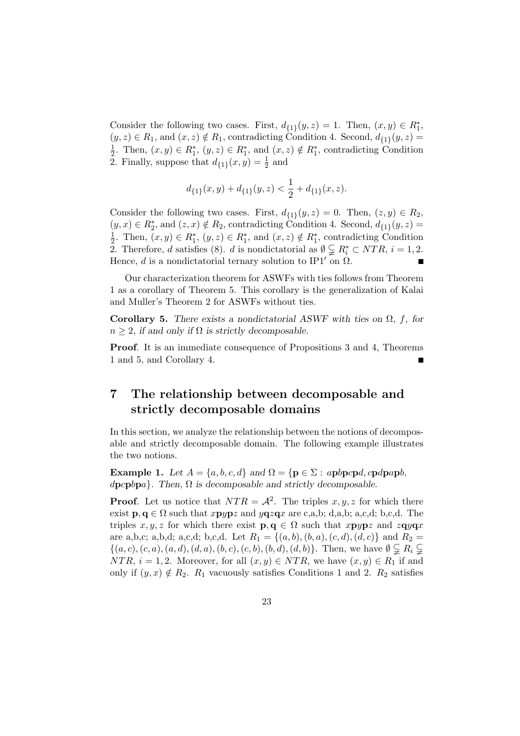Consider the following two cases. First,  $d_{\{1\}}(y, z) = 1$ . Then,  $(x, y) \in R_1^*$ ,  $(y, z) \in R_1$ , and  $(x, z) \notin R_1$ , contradicting Condition 4. Second,  $d_{\{1\}}(y, z) =$ 1  $\frac{1}{2}$ . Then,  $(x, y) \in R_1^*$ ,  $(y, z) \in R_1^*$ , and  $(x, z) \notin R_1^*$ , contradicting Condition 2. Finally, suppose that  $d_{\{1\}}(x,y) = \frac{1}{2}$  and

$$
d_{\{1\}}(x,y)+d_{\{1\}}(y,z)<\frac{1}{2}+d_{\{1\}}(x,z).
$$

Consider the following two cases. First,  $d_{\{1\}}(y, z) = 0$ . Then,  $(z, y) \in R_2$ ,  $(y, x) \in R_2^*$ , and  $(z, x) \notin R_2$ , contradicting Condition 4. Second,  $d_{\{1\}}(y, z) =$ 1  $\frac{1}{2}$ . Then,  $(x, y) \in R_1^*$ ,  $(y, z) \in R_1^*$ , and  $(x, z) \notin R_1^*$ , contradicting Condition 2. Therefore, d satisfies (8). d is nondictatorial as  $\emptyset \subsetneqq R_i^* \subset NTR$ ,  $i = 1, 2$ . Hence, d is a nondictatorial ternary solution to IP1' on  $\Omega$ .

Our characterization theorem for ASWFs with ties follows from Theorem 1 as a corollary of Theorem 5. This corollary is the generalization of Kalai and Muller's Theorem 2 for ASWFs without ties.

Corollary 5. There exists a nondictatorial ASWF with ties on  $\Omega$ , f, for  $n \geq 2$ , if and only if  $\Omega$  is strictly decomposable.

Proof. It is an immediate consequence of Propositions 3 and 4, Theorems 1 and 5, and Corollary 4.

## 7 The relationship between decomposable and strictly decomposable domains

In this section, we analyze the relationship between the notions of decomposable and strictly decomposable domain. The following example illustrates the two notions.

Example 1. Let  $A = \{a, b, c, d\}$  and  $\Omega = \{p \in \Sigma : apbpcpd, cpdpapb,$  $\langle \text{qpephpa} \rangle$ . Then,  $\Omega$  is decomposable and strictly decomposable.

**Proof.** Let us notice that  $NTR = A^2$ . The triples x, y, z for which there exist  $p, q \in \Omega$  such that  $xpypz$  and  $yqzqx$  are c,a,b; d,a,b; a,c,d; b,c,d. The triples  $x, y, z$  for which there exist  $\mathbf{p}, \mathbf{q} \in \Omega$  such that  $x\mathbf{p}y\mathbf{p}z$  and  $z\mathbf{q}y\mathbf{q}x$ are a,b,c; a,b,d; a,c,d; b,c,d. Let  $R_1 = \{(a, b), (b, a), (c, d), (d, c)\}\$  and  $R_2 =$  $\{(a, c), (c, a), (a, d), (d, a), (b, c), (c, b), (b, d), (d, b)\}.$  Then, we have  $\emptyset \subsetneq R_i \subsetneq$ NTR,  $i = 1, 2$ . Moreover, for all  $(x, y) \in NTR$ , we have  $(x, y) \in R_1$  if and only if  $(y, x) \notin R_2$ .  $R_1$  vacuously satisfies Conditions 1 and 2.  $R_2$  satisfies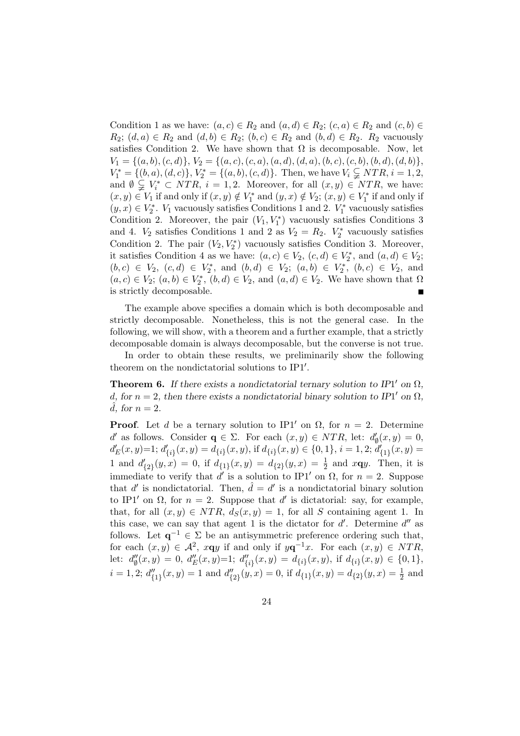Condition 1 as we have:  $(a, c) \in R_2$  and  $(a, d) \in R_2$ ;  $(c, a) \in R_2$  and  $(c, b) \in$  $R_2$ ;  $(d, a) \in R_2$  and  $(d, b) \in R_2$ ;  $(b, c) \in R_2$  and  $(b, d) \in R_2$ .  $R_2$  vacuously satisfies Condition 2. We have shown that  $\Omega$  is decomposable. Now, let  $V_1 = \{(a, b), (c, d)\}, V_2 = \{(a, c), (c, a), (a, d), (d, a), (b, c), (c, b), (b, d), (d, b)\},$  $V_1^* = \{(b, a), (d, c)\}, V_2^* = \{(a, b), (c, d)\}.$  Then, we have  $V_i \subsetneq NTR, i = 1, 2,$ and  $\emptyset \subsetneq V_i^* \subset NTR$ ,  $i = 1, 2$ . Moreover, for all  $(x, y) \in NTR$ , we have:  $(x, y) \in V_1$  if and only if  $(x, y) \notin V_1^*$  and  $(y, x) \notin V_2$ ;  $(x, y) \in V_1^*$  if and only if  $(y, x)$  ∈  $V_2^*$ .  $V_1$  vacuously satisfies Conditions 1 and 2.  $V_1^*$  vacuously satisfies Condition 2. Moreover, the pair  $(V_1, V_1^*)$  vacuously satisfies Conditions 3 and 4.  $V_2$  satisfies Conditions 1 and 2 as  $V_2 = R_2$ .  $V_2^*$  vacuously satisfies Condition 2. The pair  $(V_2, V_2^*)$  vacuously satisfies Condition 3. Moreover, it satisfies Condition 4 as we have:  $(a, c) \in V_2$ ,  $(c, d) \in V_2^*$ , and  $(a, d) \in V_2$ ;  $(b, c) \in V_2$ ,  $(c, d) \in V_2^*$ , and  $(b, d) \in V_2$ ;  $(a, b) \in V_2^*$ ,  $(b, c) \in V_2$ , and  $(a, c) \in V_2$ ;  $(a, b) \in V_2^*$ ,  $(b, d) \in V_2$ , and  $(a, d) \in V_2$ . We have shown that  $\Omega$ is strictly decomposable.

The example above specifies a domain which is both decomposable and strictly decomposable. Nonetheless, this is not the general case. In the following, we will show, with a theorem and a further example, that a strictly decomposable domain is always decomposable, but the converse is not true.

In order to obtain these results, we preliminarily show the following theorem on the nondictatorial solutions to  $IP1'$ .

**Theorem 6.** If there exists a nondictatorial ternary solution to IP1' on  $\Omega$ , d, for  $n = 2$ , then there exists a nondictatorial binary solution to IP1' on  $\Omega$ , d, for  $n = 2$ .

**Proof.** Let d be a ternary solution to IP1' on  $\Omega$ , for  $n = 2$ . Determine d' as follows. Consider  $\mathbf{q} \in \Sigma$ . For each  $(x, y) \in NTR$ , let:  $d'_{\emptyset}(x, y) = 0$ ,  $d'_{E}(x,y)=1; d'_{\{i\}}(x,y)=d_{\{i\}}(x,y),$  if  $d_{\{i\}}(x,y)\in\{0,1\}, i=1,2; d'_{\{1\}}(x,y)=1$ 1 and  $d'_{\{2\}}(y,x) = 0$ , if  $d_{\{1\}}(x,y) = d_{\{2\}}(y,x) = \frac{1}{2}$  and  $x \mathbf{q} y$ . Then, it is immediate to verify that d' is a solution to IP1' on  $\Omega$ , for  $n = 2$ . Suppose that d' is nondictatorial. Then,  $\hat{d} = d'$  is a nondictatorial binary solution to IP1' on  $\Omega$ , for  $n = 2$ . Suppose that d' is dictatorial: say, for example, that, for all  $(x, y) \in NTR$ ,  $d_S(x, y) = 1$ , for all S containing agent 1. In this case, we can say that agent 1 is the dictator for  $d'$ . Determine  $d''$  as follows. Let  $q^{-1} \in \Sigma$  be an antisymmetric preference ordering such that, for each  $(x, y) \in \mathcal{A}^2$ ,  $x \mathbf{q} y$  if and only if  $y \mathbf{q}^{-1} x$ . For each  $(x, y) \in NTR$ , let:  $d''_{\emptyset}(x,y) = 0, d''_E(x,y)=1; d''_{\{i\}}(x,y) = d_{\{i\}}(x,y),$  if  $d_{\{i\}}(x,y) \in \{0,1\},$  $i = 1, 2; d''_{\{1\}}(x, y) = 1$  and  $d''_{\{2\}}(y, x) = 0$ , if  $d_{\{1\}}(x, y) = d_{\{2\}}(y, x) = \frac{1}{2}$  and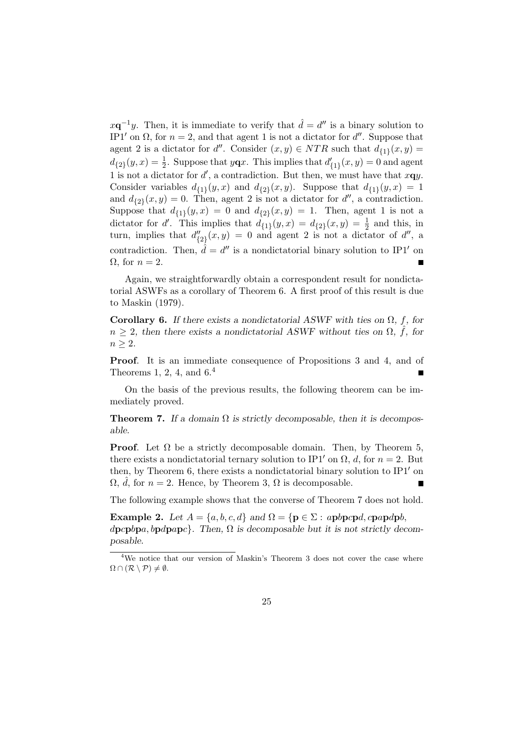$x\mathbf{q}^{-1}y$ . Then, it is immediate to verify that  $\hat{d} = d''$  is a binary solution to IP1' on  $\Omega$ , for  $n = 2$ , and that agent 1 is not a dictator for d''. Suppose that agent 2 is a dictator for d''. Consider  $(x, y) \in NTR$  such that  $d_{\{1\}}(x, y) =$  $d_{\{2\}}(y,x) = \frac{1}{2}$ . Suppose that  $y\mathbf{q}x$ . This implies that  $d'_{\{1\}}(x,y) = 0$  and agent 1 is not a dictator for  $d'$ , a contradiction. But then, we must have that  $x\mathbf{q}y$ . Consider variables  $d_{\{1\}}(y,x)$  and  $d_{\{2\}}(x,y)$ . Suppose that  $d_{\{1\}}(y,x) = 1$ and  $d_{\{2\}}(x,y) = 0$ . Then, agent 2 is not a dictator for d'', a contradiction. Suppose that  $d_{\{1\}}(y,x) = 0$  and  $d_{\{2\}}(x,y) = 1$ . Then, agent 1 is not a dictator for d'. This implies that  $d_{\{1\}}(y,x) = d_{\{2\}}(x,y) = \frac{1}{2}$  and this, in turn, implies that  $d''_{\{2\}}(x,y) = 0$  and agent 2 is not a dictator of d'', a contradiction. Then,  $\hat{d} = d''$  is a nondictatorial binary solution to IP1' on  $\Omega$ , for  $n=2$ .

Again, we straightforwardly obtain a correspondent result for nondictatorial ASWFs as a corollary of Theorem 6. A first proof of this result is due to Maskin (1979).

Corollary 6. If there exists a nondictatorial ASWF with ties on  $\Omega$ , f, for  $n \geq 2$ , then there exists a nondictatorial ASWF without ties on  $\Omega$ ,  $\hat{f}$ , for  $n \geq 2$ .

Proof. It is an immediate consequence of Propositions 3 and 4, and of Theorems 1, 2, 4, and  $6<sup>4</sup>$ 

On the basis of the previous results, the following theorem can be immediately proved.

**Theorem 7.** If a domain  $\Omega$  is strictly decomposable, then it is decomposable.

**Proof.** Let  $\Omega$  be a strictly decomposable domain. Then, by Theorem 5, there exists a nondictatorial ternary solution to IP1' on  $\Omega$ , d, for  $n = 2$ . But then, by Theorem 6, there exists a nondictatorial binary solution to  $IP1'$  on  $\Omega$ , *d*, for  $n = 2$ . Hence, by Theorem 3,  $\Omega$  is decomposable.

The following example shows that the converse of Theorem 7 does not hold.

**Example 2.** Let  $A = \{a, b, c, d\}$  and  $\Omega = \{p \in \Sigma : appcpd, cpapdpb,$  $\{dpcpbpa, bpdpapc\}$ . Then,  $\Omega$  is decomposable but it is not strictly decomposable.

<sup>&</sup>lt;sup>4</sup>We notice that our version of Maskin's Theorem 3 does not cover the case where  $\Omega \cap (\mathcal{R} \setminus \mathcal{P}) \neq \emptyset.$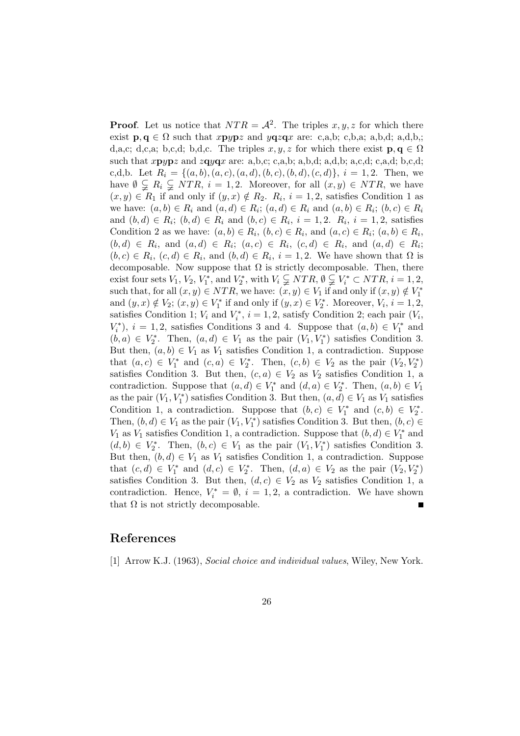**Proof.** Let us notice that  $NTR = A^2$ . The triples x, y, z for which there exist  $\mathbf{p}, \mathbf{q} \in \Omega$  such that  $x \mathbf{p} y \mathbf{p} z$  and  $y \mathbf{q} z \mathbf{q} x$  are: c,a,b; c,b,a; a,b,d; a,d,b,; d,a,c; d,c,a; b,c,d; b,d,c. The triples x, y, z for which there exist  $\mathbf{p}, \mathbf{q} \in \Omega$ such that  $x \mathbf{p} y \mathbf{p} z$  and  $z \mathbf{q} y \mathbf{q} x$  are: a,b,c; c,a,b; a,b,d; a,d,b; a,c,d; c,a,d; b,c,d; c,d,b. Let  $R_i = \{(a, b), (a, c), (a, d), (b, c), (b, d), (c, d)\}, i = 1, 2$ . Then, we have  $\emptyset \subsetneq R_i \subsetneq NTR$ ,  $i = 1, 2$ . Moreover, for all  $(x, y) \in NTR$ , we have  $(x, y) \in R_1$  if and only if  $(y, x) \notin R_2$ .  $R_i$ ,  $i = 1, 2$ , satisfies Condition 1 as we have:  $(a, b) \in R_i$  and  $(a, d) \in R_i$ ;  $(a, d) \in R_i$  and  $(a, b) \in R_i$ ;  $(b, c) \in R_i$ and  $(b, d) \in R_i$ ;  $(b, d) \in R_i$  and  $(b, c) \in R_i$ ,  $i = 1, 2$ .  $R_i$ ,  $i = 1, 2$ , satisfies Condition 2 as we have:  $(a, b) \in R_i$ ,  $(b, c) \in R_i$ , and  $(a, c) \in R_i$ ;  $(a, b) \in R_i$ ,  $(b,d) \in R_i$ , and  $(a,d) \in R_i$ ;  $(a,c) \in R_i$ ,  $(c,d) \in R_i$ , and  $(a,d) \in R_i$ ;  $(b, c) \in R_i$ ,  $(c, d) \in R_i$ , and  $(b, d) \in R_i$ ,  $i = 1, 2$ . We have shown that  $\Omega$  is decomposable. Now suppose that  $\Omega$  is strictly decomposable. Then, there exist four sets  $V_1$ ,  $V_2$ ,  $V_1^*$ , and  $V_2^*$ , with  $V_i \subsetneq NTR$ ,  $\emptyset \subsetneq V_i^* \subset NTR$ ,  $i = 1, 2$ , such that, for all  $(x, y) \in NTR$ , we have:  $(x, y) \in V_1$  if and only if  $(x, y) \notin V_1^*$ and  $(y, x) \notin V_2$ ;  $(x, y) \in V_1^*$  if and only if  $(y, x) \in V_2^*$ . Moreover,  $V_i$ ,  $i = 1, 2$ , satisfies Condition 1;  $V_i$  and  $V_i^*$ ,  $i = 1, 2$ , satisfy Condition 2; each pair  $(V_i,$  $V_i^*$ ,  $i = 1, 2$ , satisfies Conditions 3 and 4. Suppose that  $(a, b) \in V_1^*$  and  $(b, a) \in V_2^*$ . Then,  $(a, d) \in V_1$  as the pair  $(V_1, V_1^*)$  satisfies Condition 3. But then,  $(a, b) \in V_1$  as  $V_1$  satisfies Condition 1, a contradiction. Suppose that  $(a, c) \in V_1^*$  and  $(c, a) \in V_2^*$ . Then,  $(c, b) \in V_2$  as the pair  $(V_2, V_2^*)$ satisfies Condition 3. But then,  $(c, a) \in V_2$  as  $V_2$  satisfies Condition 1, a contradiction. Suppose that  $(a, d) \in V_1^*$  and  $(d, a) \in V_2^*$ . Then,  $(a, b) \in V_1$ as the pair  $(V_1, V_1^*)$  satisfies Condition 3. But then,  $(a, d) \in V_1$  as  $V_1$  satisfies Condition 1, a contradiction. Suppose that  $(b, c) \in V_1^*$  and  $(c, b) \in V_2^*$ . Then,  $(b, d) \in V_1$  as the pair  $(V_1, V_1^*)$  satisfies Condition 3. But then,  $(b, c) \in$  $V_1$  as  $V_1$  satisfies Condition 1, a contradiction. Suppose that  $(b, d) \in V_1^*$  and  $(d, b) \in V_2^*$ . Then,  $(b, c) \in V_1$  as the pair  $(V_1, V_1^*)$  satisfies Condition 3. But then,  $(b, d) \in V_1$  as  $V_1$  satisfies Condition 1, a contradiction. Suppose that  $(c, d) \in V_1^*$  and  $(d, c) \in V_2^*$ . Then,  $(d, a) \in V_2$  as the pair  $(V_2, V_2^*)$ satisfies Condition 3. But then,  $(d, c) \in V_2$  as  $V_2$  satisfies Condition 1, a contradiction. Hence,  $V_i^* = \emptyset$ ,  $i = 1, 2$ , a contradiction. We have shown that  $\Omega$  is not strictly decomposable.

#### References

[1] Arrow K.J. (1963), Social choice and individual values, Wiley, New York.